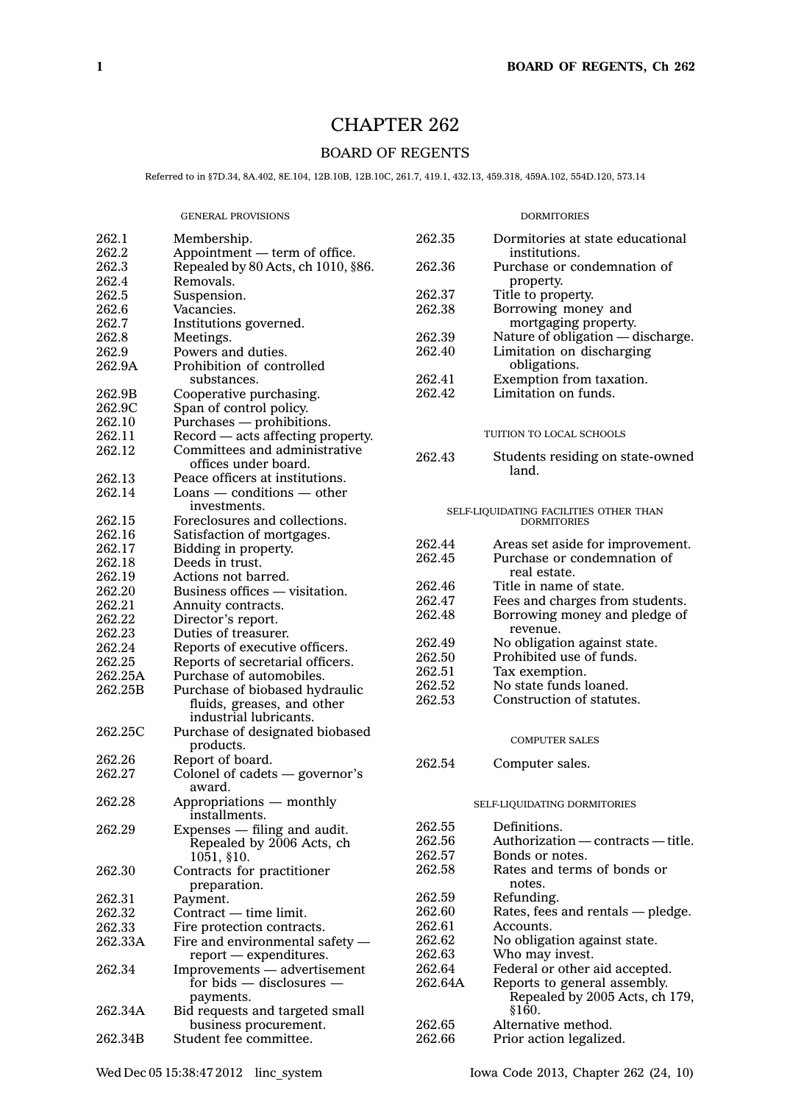# CHAPTER 262

## BOARD OF REGENTS

Referred to in §7D.34, 8A.402, 8E.104, 12B.10B, 12B.10C, 261.7, 419.1, 432.13, 459.318, 459A.102, 554D.120, 573.14

#### GENERAL PROVISIONS

| 262.1   | Membership.                                  | 262.35  | Dormitories at sta          |
|---------|----------------------------------------------|---------|-----------------------------|
| 262.2   | Appointment — term of office.                |         | institutions.               |
| 262.3   | Repealed by 80 Acts, ch 1010, §86.           | 262.36  | Purchase or cond            |
| 262.4   | Removals.                                    |         | property.                   |
| 262.5   | Suspension.                                  | 262.37  | Title to property.          |
| 262.6   | Vacancies.                                   | 262.38  | Borrowing money             |
| 262.7   | Institutions governed.                       |         | mortgaging pro              |
| 262.8   | Meetings.                                    | 262.39  | Nature of obligati          |
| 262.9   | Powers and duties.                           | 262.40  | Limitation on dis           |
| 262.9A  | Prohibition of controlled                    |         | obligations.                |
|         | substances.                                  | 262.41  | Exemption from t            |
| 262.9B  | Cooperative purchasing.                      | 262.42  | Limitation on fun           |
| 262.9C  | Span of control policy.                      |         |                             |
| 262.10  | Purchases - prohibitions.                    |         |                             |
| 262.11  | Record - acts affecting property.            |         | TUITION TO LOCAL SCH        |
| 262.12  | Committees and administrative                | 262.43  |                             |
|         | offices under board.                         |         | Students residing<br>land.  |
| 262.13  | Peace officers at institutions.              |         |                             |
| 262.14  | $\text{Loans}$ $-$ conditions $-$ other      |         |                             |
|         | investments.                                 |         | SELF-LIQUIDATING FACILITIES |
| 262.15  | Foreclosures and collections.                |         | <b>DORMITORIES</b>          |
| 262.16  | Satisfaction of mortgages.                   |         |                             |
| 262.17  | Bidding in property.                         | 262.44  | Areas set aside fo          |
| 262.18  | Deeds in trust.                              | 262.45  | Purchase or cond            |
| 262.19  | Actions not barred.                          |         | real estate.                |
| 262.20  | Business offices — visitation.               | 262.46  | Title in name of s          |
| 262.21  | Annuity contracts.                           | 262.47  | Fees and charges            |
| 262.22  | Director's report.                           | 262.48  | Borrowing money             |
| 262.23  | Duties of treasurer.                         |         | revenue.                    |
| 262.24  | Reports of executive officers.               | 262.49  | No obligation aga           |
| 262.25  | Reports of secretarial officers.             | 262.50  | Prohibited use of           |
| 262.25A | Purchase of automobiles.                     | 262.51  | Tax exemption.              |
| 262.25B | Purchase of biobased hydraulic               | 262.52  | No state funds lo:          |
|         | fluids, greases, and other                   | 262.53  | Construction of st          |
|         | industrial lubricants.                       |         |                             |
| 262.25C | Purchase of designated biobased<br>products. |         | <b>COMPUTER SALES</b>       |
| 262.26  | Report of board.                             | 262.54  | Computer sales.             |
| 262.27  | Colonel of cadets — governor's<br>award.     |         |                             |
| 262.28  | Appropriations — monthly<br>installments.    |         | SELF-LIQUIDATING DORM       |
| 262.29  | Expenses $-$ filing and audit.               | 262.55  | Definitions.                |
|         | Repealed by 2006 Acts, ch                    | 262.56  | Authorization — o           |
|         | 1051, §10.                                   | 262.57  | Bonds or notes.             |
| 262.30  | Contracts for practitioner                   | 262.58  | Rates and terms             |
|         | preparation.                                 |         | notes.                      |
| 262.31  | Payment.                                     | 262.59  | Refunding.                  |
| 262.32  | Contract — time limit.                       | 262.60  | Rates, fees and re          |
| 262.33  | Fire protection contracts.                   | 262.61  | Accounts.                   |
| 262.33A | Fire and environmental safety $-$            | 262.62  | No obligation aga           |
|         | report — expenditures.                       | 262.63  | Who may invest.             |
| 262.34  | Improvements - advertisement                 | 262.64  | Federal or other a          |
|         | for bids $-$ disclosures $-$                 | 262.64A | Reports to genera           |

payments. 262.34A Bid requests and targeted small business procurement. 262.34B Student fee committee.

#### **DORMITORIES**

| 262.35                                             | Dormitories at state educational<br>institutions. |  |  |  |  |
|----------------------------------------------------|---------------------------------------------------|--|--|--|--|
| 262.36                                             | Purchase or condemnation of                       |  |  |  |  |
|                                                    | property.                                         |  |  |  |  |
| 262.37                                             | Title to property.                                |  |  |  |  |
| 262.38                                             | Borrowing money and<br>mortgaging property.       |  |  |  |  |
| 262.39                                             | Nature of obligation - discharge.                 |  |  |  |  |
| 262.40                                             | Limitation on discharging                         |  |  |  |  |
|                                                    | obligations.                                      |  |  |  |  |
| 262.41                                             | Exemption from taxation.                          |  |  |  |  |
| 262.42                                             | Limitation on funds.                              |  |  |  |  |
| TUITION TO LOCAL SCHOOLS                           |                                                   |  |  |  |  |
| 262.43                                             |                                                   |  |  |  |  |
|                                                    | Students residing on state-owned<br>land.         |  |  |  |  |
|                                                    |                                                   |  |  |  |  |
|                                                    |                                                   |  |  |  |  |
| SELF-LIQUIDATING FACILITIES OTHER THAN DORMITORIES |                                                   |  |  |  |  |
| 262.44                                             | Areas set aside for improvement.                  |  |  |  |  |
| 262.45                                             | Purchase or condemnation of                       |  |  |  |  |
|                                                    | real estate.                                      |  |  |  |  |
| 262.46                                             | Title in name of state.                           |  |  |  |  |
| 262.47                                             | Fees and charges from students.                   |  |  |  |  |
| 262.48                                             | Borrowing money and pledge of                     |  |  |  |  |
|                                                    | revenue.                                          |  |  |  |  |
| 262.49                                             | No obligation against state.                      |  |  |  |  |
| 262.50                                             | Prohibited use of funds.                          |  |  |  |  |
| 262.51                                             | Tax exemption.                                    |  |  |  |  |
| 262.52                                             | No state funds loaned.                            |  |  |  |  |
| 262.53                                             | Construction of statutes.                         |  |  |  |  |
|                                                    |                                                   |  |  |  |  |
|                                                    | <b>COMPUTER SALES</b>                             |  |  |  |  |
| 262.54                                             | Computer sales.                                   |  |  |  |  |
|                                                    |                                                   |  |  |  |  |
| SELF-LIQUIDATING DORMITORIES                       |                                                   |  |  |  |  |
| 262.55                                             | Definitions.                                      |  |  |  |  |
| 262.56                                             | Authorization — contracts — title.                |  |  |  |  |
| 262.57                                             | Bonds or notes.                                   |  |  |  |  |
| 262.58                                             | Rates and terms of bonds or                       |  |  |  |  |
|                                                    | notes.                                            |  |  |  |  |
| 262.59                                             | Refunding.                                        |  |  |  |  |
| 262.60                                             | Rates, fees and rentals - pledge.                 |  |  |  |  |
| 262.61                                             | Accounts.                                         |  |  |  |  |
| 262.62                                             | No obligation against state.                      |  |  |  |  |
| 262.63                                             | Who may invest.                                   |  |  |  |  |
| 262.64                                             | Federal or other aid accepted.                    |  |  |  |  |
| 262.64A                                            | Reports to general assembly.                      |  |  |  |  |
|                                                    | Repealed by 2005 Acts, ch 179,                    |  |  |  |  |
|                                                    | §160.                                             |  |  |  |  |
| 262.65                                             | Alternative method.                               |  |  |  |  |
| 262.66                                             | Prior action legalized.                           |  |  |  |  |
|                                                    |                                                   |  |  |  |  |

262.1  $262.2$ <br> $262.3$ 

262.4 262.5 262.6 262.7 262.8 262.9  $262.9A$ 

262.9B 262.9C 262.10 262.11  $262.12$ 

262.13 262.14

 $262.15$  $262.16$ 262.17 262.18 262.19 262.20 262.21 262.22 262.23 262.24 262.25 262.25A 262.25B

262.25C

262.26 Report of board.  $262.27$ 

262.28

262.29

262.30

262.31 262.32 262.33 262.33A

262.34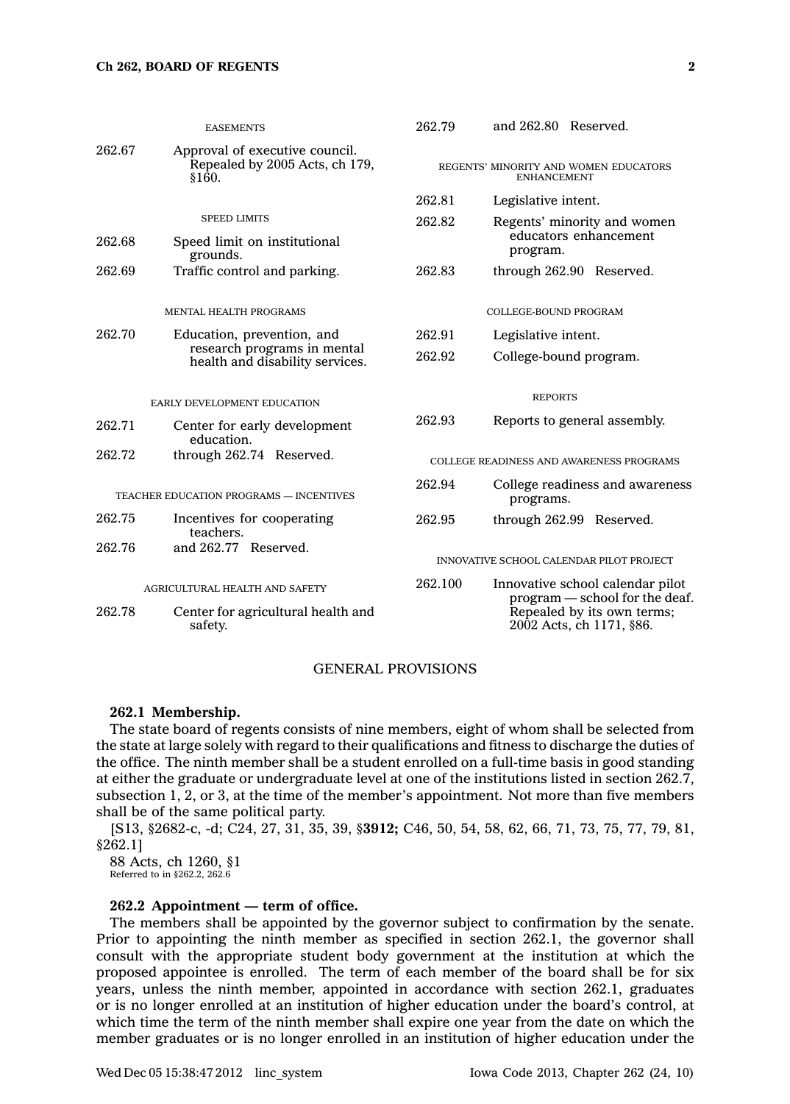#### **Ch 262, BOARD OF REGENTS 2**

|                                                | <b>EASEMENTS</b>                                                                             | 262.79                                                      | and 262.80 Reserved.                                                                                                        |
|------------------------------------------------|----------------------------------------------------------------------------------------------|-------------------------------------------------------------|-----------------------------------------------------------------------------------------------------------------------------|
| 262.67                                         | Approval of executive council.<br>Repealed by 2005 Acts, ch 179,<br>§160.                    | REGENTS' MINORITY AND WOMEN EDUCATORS<br><b>ENHANCEMENT</b> |                                                                                                                             |
|                                                |                                                                                              | 262.81                                                      | Legislative intent.                                                                                                         |
| 262.68                                         | <b>SPEED LIMITS</b><br>Speed limit on institutional<br>grounds.                              | 262.82                                                      | Regents' minority and women<br>educators enhancement<br>program.                                                            |
| 262.69                                         | Traffic control and parking.                                                                 | 262.83                                                      | through 262.90 Reserved.                                                                                                    |
|                                                | <b>MENTAL HEALTH PROGRAMS</b>                                                                |                                                             | COLLEGE-BOUND PROGRAM                                                                                                       |
| 262.70                                         | Education, prevention, and<br>research programs in mental<br>health and disability services. | 262.91                                                      | Legislative intent.                                                                                                         |
|                                                |                                                                                              | 262.92                                                      | College-bound program.                                                                                                      |
| EARLY DEVELOPMENT EDUCATION                    |                                                                                              |                                                             | <b>REPORTS</b>                                                                                                              |
| 262.71                                         | Center for early development<br>education.                                                   | 262.93                                                      | Reports to general assembly.                                                                                                |
| 262.72                                         | through 262.74 Reserved.                                                                     | COLLEGE READINESS AND AWARENESS PROGRAMS                    |                                                                                                                             |
| <b>TEACHER EDUCATION PROGRAMS - INCENTIVES</b> |                                                                                              | 262.94                                                      | College readiness and awareness<br>programs.                                                                                |
| 262.75                                         | Incentives for cooperating<br>teachers.                                                      | 262.95                                                      | through 262.99 Reserved.                                                                                                    |
| 262.76                                         | and 262.77 Reserved.                                                                         |                                                             | INNOVATIVE SCHOOL CALENDAR PILOT PROJECT                                                                                    |
| 262.78                                         | AGRICULTURAL HEALTH AND SAFETY<br>Center for agricultural health and<br>safety.              | 262.100                                                     | Innovative school calendar pilot<br>program - school for the deaf<br>Repealed by its own terms;<br>2002 Acts, ch 1171, §86. |
|                                                |                                                                                              |                                                             |                                                                                                                             |

### GENERAL PROVISIONS

#### **262.1 Membership.**

The state board of regents consists of nine members, eight of whom shall be selected from the state at large solely with regard to their qualifications and fitness to discharge the duties of the office. The ninth member shall be <sup>a</sup> student enrolled on <sup>a</sup> full-time basis in good standing at either the graduate or undergraduate level at one of the institutions listed in section 262.7, subsection 1, 2, or 3, at the time of the member's appointment. Not more than five members shall be of the same political party.

[S13, §2682-c, -d; C24, 27, 31, 35, 39, §**3912;** C46, 50, 54, 58, 62, 66, 71, 73, 75, 77, 79, 81, §262.1]

88 Acts, ch 1260, §1 Referred to in §262.2, 262.6

## **262.2 Appointment — term of office.**

The members shall be appointed by the governor subject to confirmation by the senate. Prior to appointing the ninth member as specified in section 262.1, the governor shall consult with the appropriate student body government at the institution at which the proposed appointee is enrolled. The term of each member of the board shall be for six years, unless the ninth member, appointed in accordance with section 262.1, graduates or is no longer enrolled at an institution of higher education under the board's control, at which time the term of the ninth member shall expire one year from the date on which the member graduates or is no longer enrolled in an institution of higher education under the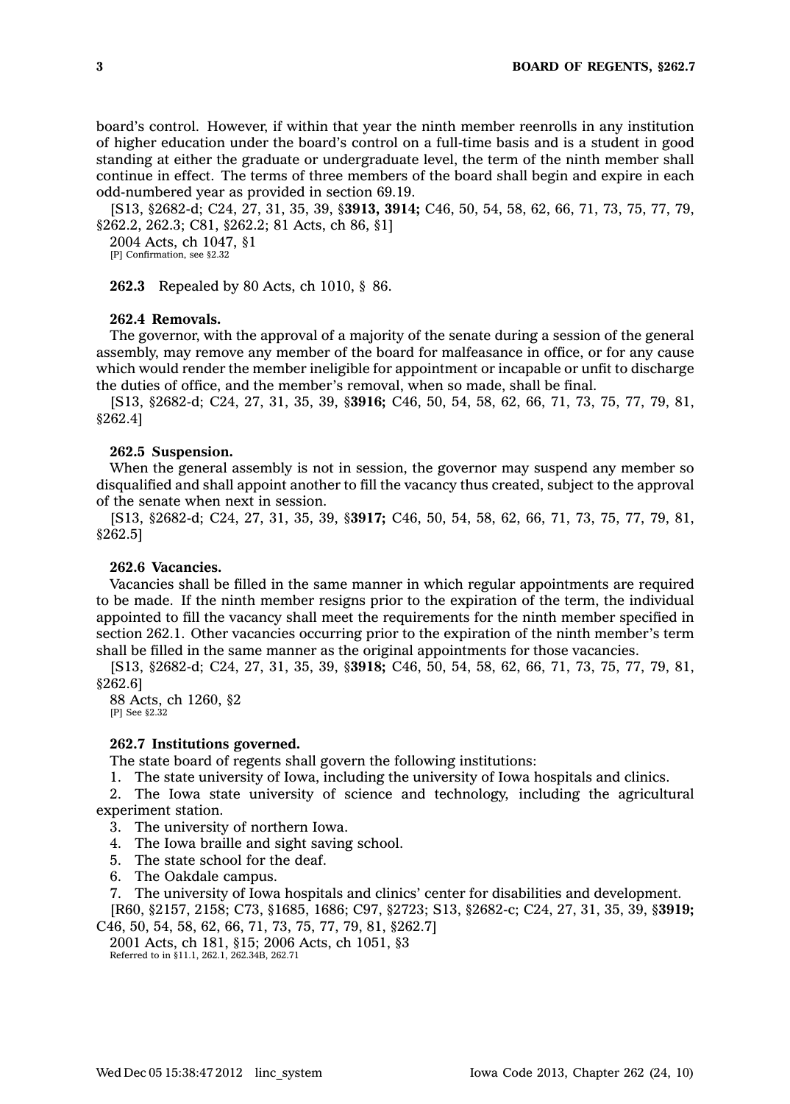board's control. However, if within that year the ninth member reenrolls in any institution of higher education under the board's control on <sup>a</sup> full-time basis and is <sup>a</sup> student in good standing at either the graduate or undergraduate level, the term of the ninth member shall continue in effect. The terms of three members of the board shall begin and expire in each odd-numbered year as provided in section 69.19.

[S13, §2682-d; C24, 27, 31, 35, 39, §**3913, 3914;** C46, 50, 54, 58, 62, 66, 71, 73, 75, 77, 79, §262.2, 262.3; C81, §262.2; 81 Acts, ch 86, §1]

2004 Acts, ch 1047, §1 [P] Confirmation, see §2.32

**262.3** Repealed by 80 Acts, ch 1010, § 86.

### **262.4 Removals.**

The governor, with the approval of <sup>a</sup> majority of the senate during <sup>a</sup> session of the general assembly, may remove any member of the board for malfeasance in office, or for any cause which would render the member ineligible for appointment or incapable or unfit to discharge the duties of office, and the member's removal, when so made, shall be final.

[S13, §2682-d; C24, 27, 31, 35, 39, §**3916;** C46, 50, 54, 58, 62, 66, 71, 73, 75, 77, 79, 81, §262.4]

### **262.5 Suspension.**

When the general assembly is not in session, the governor may suspend any member so disqualified and shall appoint another to fill the vacancy thus created, subject to the approval of the senate when next in session.

[S13, §2682-d; C24, 27, 31, 35, 39, §**3917;** C46, 50, 54, 58, 62, 66, 71, 73, 75, 77, 79, 81, §262.5]

## **262.6 Vacancies.**

Vacancies shall be filled in the same manner in which regular appointments are required to be made. If the ninth member resigns prior to the expiration of the term, the individual appointed to fill the vacancy shall meet the requirements for the ninth member specified in section 262.1. Other vacancies occurring prior to the expiration of the ninth member's term shall be filled in the same manner as the original appointments for those vacancies.

[S13, §2682-d; C24, 27, 31, 35, 39, §**3918;** C46, 50, 54, 58, 62, 66, 71, 73, 75, 77, 79, 81, §262.6]

88 Acts, ch 1260, §2 [P] See  $$2.32$ 

### **262.7 Institutions governed.**

The state board of regents shall govern the following institutions:

1. The state university of Iowa, including the university of Iowa hospitals and clinics.

2. The Iowa state university of science and technology, including the agricultural experiment station.

- 3. The university of northern Iowa.
- 4. The Iowa braille and sight saving school.
- 5. The state school for the deaf.
- 6. The Oakdale campus.

7. The university of Iowa hospitals and clinics' center for disabilities and development. [R60, §2157, 2158; C73, §1685, 1686; C97, §2723; S13, §2682-c; C24, 27, 31, 35, 39, §**3919;**

C46, 50, 54, 58, 62, 66, 71, 73, 75, 77, 79, 81, §262.7] 2001 Acts, ch 181, §15; 2006 Acts, ch 1051, §3 Referred to in §11.1, 262.1, 262.34B, 262.71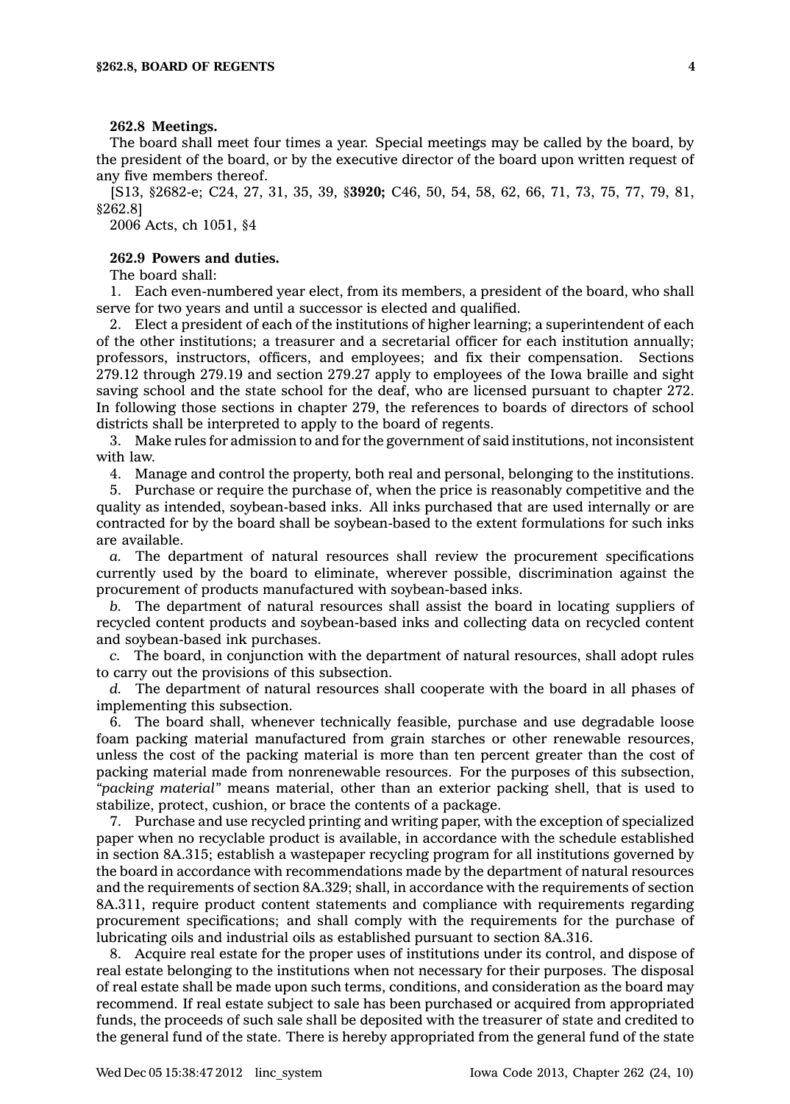#### **262.8 Meetings.**

The board shall meet four times <sup>a</sup> year. Special meetings may be called by the board, by the president of the board, or by the executive director of the board upon written request of any five members thereof.

[S13, §2682-e; C24, 27, 31, 35, 39, §**3920;** C46, 50, 54, 58, 62, 66, 71, 73, 75, 77, 79, 81, §262.8]

2006 Acts, ch 1051, §4

## **262.9 Powers and duties.**

The board shall:

1. Each even-numbered year elect, from its members, <sup>a</sup> president of the board, who shall serve for two years and until <sup>a</sup> successor is elected and qualified.

2. Elect <sup>a</sup> president of each of the institutions of higher learning; <sup>a</sup> superintendent of each of the other institutions; <sup>a</sup> treasurer and <sup>a</sup> secretarial officer for each institution annually; professors, instructors, officers, and employees; and fix their compensation. Sections 279.12 through 279.19 and section 279.27 apply to employees of the Iowa braille and sight saving school and the state school for the deaf, who are licensed pursuant to chapter 272. In following those sections in chapter 279, the references to boards of directors of school districts shall be interpreted to apply to the board of regents.

3. Make rules for admission to and for the government of said institutions, not inconsistent with law.

4. Manage and control the property, both real and personal, belonging to the institutions.

5. Purchase or require the purchase of, when the price is reasonably competitive and the quality as intended, soybean-based inks. All inks purchased that are used internally or are contracted for by the board shall be soybean-based to the extent formulations for such inks are available.

*a.* The department of natural resources shall review the procurement specifications currently used by the board to eliminate, wherever possible, discrimination against the procurement of products manufactured with soybean-based inks.

*b.* The department of natural resources shall assist the board in locating suppliers of recycled content products and soybean-based inks and collecting data on recycled content and soybean-based ink purchases.

*c.* The board, in conjunction with the department of natural resources, shall adopt rules to carry out the provisions of this subsection.

*d.* The department of natural resources shall cooperate with the board in all phases of implementing this subsection.

6. The board shall, whenever technically feasible, purchase and use degradable loose foam packing material manufactured from grain starches or other renewable resources, unless the cost of the packing material is more than ten percent greater than the cost of packing material made from nonrenewable resources. For the purposes of this subsection, *"packing material"* means material, other than an exterior packing shell, that is used to stabilize, protect, cushion, or brace the contents of <sup>a</sup> package.

7. Purchase and use recycled printing and writing paper, with the exception of specialized paper when no recyclable product is available, in accordance with the schedule established in section 8A.315; establish <sup>a</sup> wastepaper recycling program for all institutions governed by the board in accordance with recommendations made by the department of natural resources and the requirements of section 8A.329; shall, in accordance with the requirements of section 8A.311, require product content statements and compliance with requirements regarding procurement specifications; and shall comply with the requirements for the purchase of lubricating oils and industrial oils as established pursuant to section 8A.316.

8. Acquire real estate for the proper uses of institutions under its control, and dispose of real estate belonging to the institutions when not necessary for their purposes. The disposal of real estate shall be made upon such terms, conditions, and consideration as the board may recommend. If real estate subject to sale has been purchased or acquired from appropriated funds, the proceeds of such sale shall be deposited with the treasurer of state and credited to the general fund of the state. There is hereby appropriated from the general fund of the state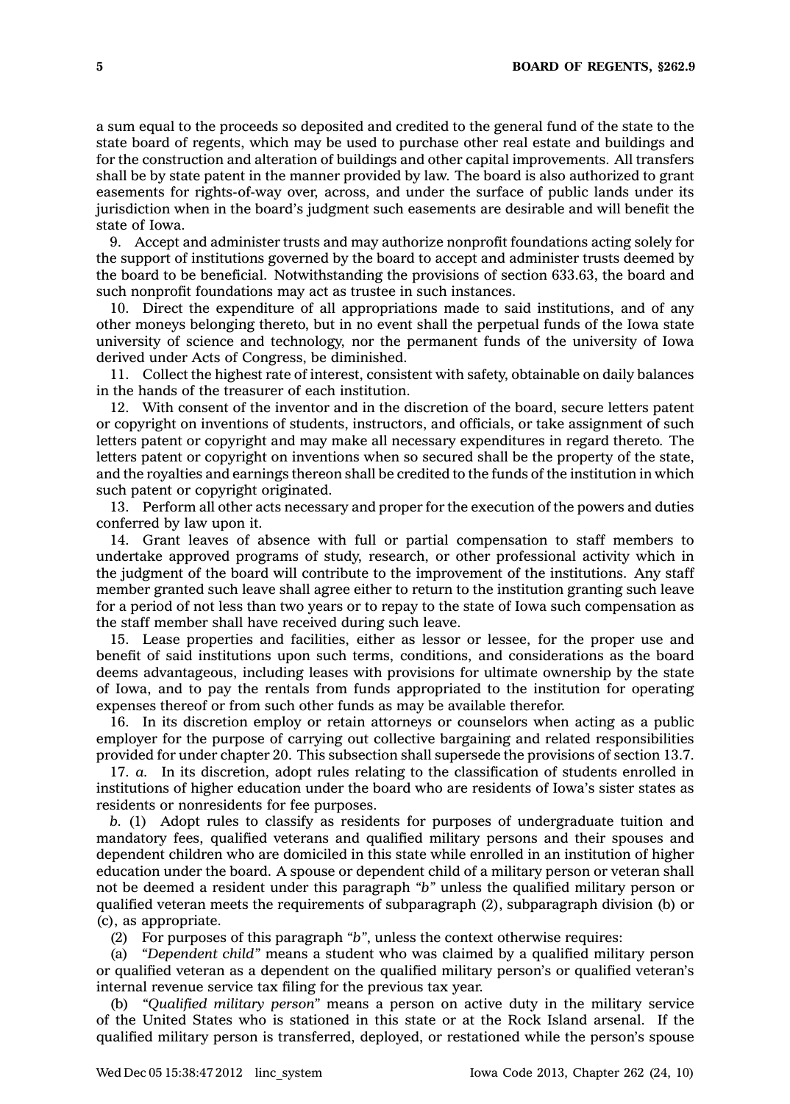<sup>a</sup> sum equal to the proceeds so deposited and credited to the general fund of the state to the state board of regents, which may be used to purchase other real estate and buildings and for the construction and alteration of buildings and other capital improvements. All transfers shall be by state patent in the manner provided by law. The board is also authorized to grant easements for rights-of-way over, across, and under the surface of public lands under its jurisdiction when in the board's judgment such easements are desirable and will benefit the state of Iowa.

9. Accept and administer trusts and may authorize nonprofit foundations acting solely for the support of institutions governed by the board to accept and administer trusts deemed by the board to be beneficial. Notwithstanding the provisions of section 633.63, the board and such nonprofit foundations may act as trustee in such instances.

10. Direct the expenditure of all appropriations made to said institutions, and of any other moneys belonging thereto, but in no event shall the perpetual funds of the Iowa state university of science and technology, nor the permanent funds of the university of Iowa derived under Acts of Congress, be diminished.

11. Collect the highest rate of interest, consistent with safety, obtainable on daily balances in the hands of the treasurer of each institution.

12. With consent of the inventor and in the discretion of the board, secure letters patent or copyright on inventions of students, instructors, and officials, or take assignment of such letters patent or copyright and may make all necessary expenditures in regard thereto. The letters patent or copyright on inventions when so secured shall be the property of the state, and the royalties and earnings thereon shall be credited to the funds of the institution in which such patent or copyright originated.

13. Perform all other acts necessary and proper for the execution of the powers and duties conferred by law upon it.

14. Grant leaves of absence with full or partial compensation to staff members to undertake approved programs of study, research, or other professional activity which in the judgment of the board will contribute to the improvement of the institutions. Any staff member granted such leave shall agree either to return to the institution granting such leave for <sup>a</sup> period of not less than two years or to repay to the state of Iowa such compensation as the staff member shall have received during such leave.

15. Lease properties and facilities, either as lessor or lessee, for the proper use and benefit of said institutions upon such terms, conditions, and considerations as the board deems advantageous, including leases with provisions for ultimate ownership by the state of Iowa, and to pay the rentals from funds appropriated to the institution for operating expenses thereof or from such other funds as may be available therefor.

16. In its discretion employ or retain attorneys or counselors when acting as <sup>a</sup> public employer for the purpose of carrying out collective bargaining and related responsibilities provided for under chapter 20. This subsection shall supersede the provisions of section 13.7.

17. *a.* In its discretion, adopt rules relating to the classification of students enrolled in institutions of higher education under the board who are residents of Iowa's sister states as residents or nonresidents for fee purposes.

*b.* (1) Adopt rules to classify as residents for purposes of undergraduate tuition and mandatory fees, qualified veterans and qualified military persons and their spouses and dependent children who are domiciled in this state while enrolled in an institution of higher education under the board. A spouse or dependent child of <sup>a</sup> military person or veteran shall not be deemed <sup>a</sup> resident under this paragraph *"b"* unless the qualified military person or qualified veteran meets the requirements of subparagraph (2), subparagraph division (b) or (c), as appropriate.

(2) For purposes of this paragraph *"b"*, unless the context otherwise requires:

(a) *"Dependent child"* means <sup>a</sup> student who was claimed by <sup>a</sup> qualified military person or qualified veteran as <sup>a</sup> dependent on the qualified military person's or qualified veteran's internal revenue service tax filing for the previous tax year.

(b) *"Qualified military person"* means <sup>a</sup> person on active duty in the military service of the United States who is stationed in this state or at the Rock Island arsenal. If the qualified military person is transferred, deployed, or restationed while the person's spouse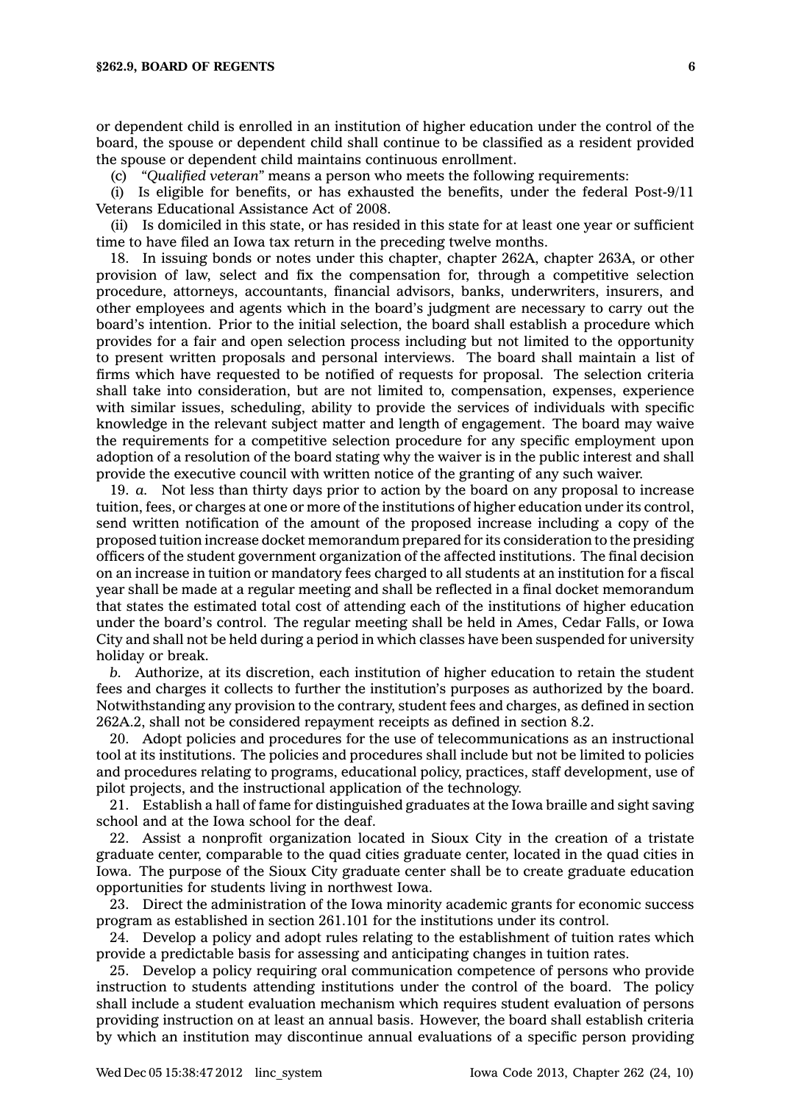or dependent child is enrolled in an institution of higher education under the control of the board, the spouse or dependent child shall continue to be classified as <sup>a</sup> resident provided the spouse or dependent child maintains continuous enrollment.

(c) *"Qualified veteran"* means <sup>a</sup> person who meets the following requirements:

(i) Is eligible for benefits, or has exhausted the benefits, under the federal Post-9/11 Veterans Educational Assistance Act of 2008.

(ii) Is domiciled in this state, or has resided in this state for at least one year or sufficient time to have filed an Iowa tax return in the preceding twelve months.

18. In issuing bonds or notes under this chapter, chapter 262A, chapter 263A, or other provision of law, select and fix the compensation for, through <sup>a</sup> competitive selection procedure, attorneys, accountants, financial advisors, banks, underwriters, insurers, and other employees and agents which in the board's judgment are necessary to carry out the board's intention. Prior to the initial selection, the board shall establish <sup>a</sup> procedure which provides for <sup>a</sup> fair and open selection process including but not limited to the opportunity to present written proposals and personal interviews. The board shall maintain <sup>a</sup> list of firms which have requested to be notified of requests for proposal. The selection criteria shall take into consideration, but are not limited to, compensation, expenses, experience with similar issues, scheduling, ability to provide the services of individuals with specific knowledge in the relevant subject matter and length of engagement. The board may waive the requirements for <sup>a</sup> competitive selection procedure for any specific employment upon adoption of <sup>a</sup> resolution of the board stating why the waiver is in the public interest and shall provide the executive council with written notice of the granting of any such waiver.

19. *a.* Not less than thirty days prior to action by the board on any proposal to increase tuition, fees, or charges at one or more of the institutions of higher education under its control, send written notification of the amount of the proposed increase including <sup>a</sup> copy of the proposed tuition increase docket memorandum prepared for its consideration to the presiding officers of the student government organization of the affected institutions. The final decision on an increase in tuition or mandatory fees charged to all students at an institution for <sup>a</sup> fiscal year shall be made at <sup>a</sup> regular meeting and shall be reflected in <sup>a</sup> final docket memorandum that states the estimated total cost of attending each of the institutions of higher education under the board's control. The regular meeting shall be held in Ames, Cedar Falls, or Iowa City and shall not be held during <sup>a</sup> period in which classes have been suspended for university holiday or break.

*b.* Authorize, at its discretion, each institution of higher education to retain the student fees and charges it collects to further the institution's purposes as authorized by the board. Notwithstanding any provision to the contrary, student fees and charges, as defined in section 262A.2, shall not be considered repayment receipts as defined in section 8.2.

20. Adopt policies and procedures for the use of telecommunications as an instructional tool at its institutions. The policies and procedures shall include but not be limited to policies and procedures relating to programs, educational policy, practices, staff development, use of pilot projects, and the instructional application of the technology.

21. Establish <sup>a</sup> hall of fame for distinguished graduates at the Iowa braille and sight saving school and at the Iowa school for the deaf.

22. Assist <sup>a</sup> nonprofit organization located in Sioux City in the creation of <sup>a</sup> tristate graduate center, comparable to the quad cities graduate center, located in the quad cities in Iowa. The purpose of the Sioux City graduate center shall be to create graduate education opportunities for students living in northwest Iowa.

23. Direct the administration of the Iowa minority academic grants for economic success program as established in section 261.101 for the institutions under its control.

24. Develop <sup>a</sup> policy and adopt rules relating to the establishment of tuition rates which provide <sup>a</sup> predictable basis for assessing and anticipating changes in tuition rates.

25. Develop <sup>a</sup> policy requiring oral communication competence of persons who provide instruction to students attending institutions under the control of the board. The policy shall include <sup>a</sup> student evaluation mechanism which requires student evaluation of persons providing instruction on at least an annual basis. However, the board shall establish criteria by which an institution may discontinue annual evaluations of <sup>a</sup> specific person providing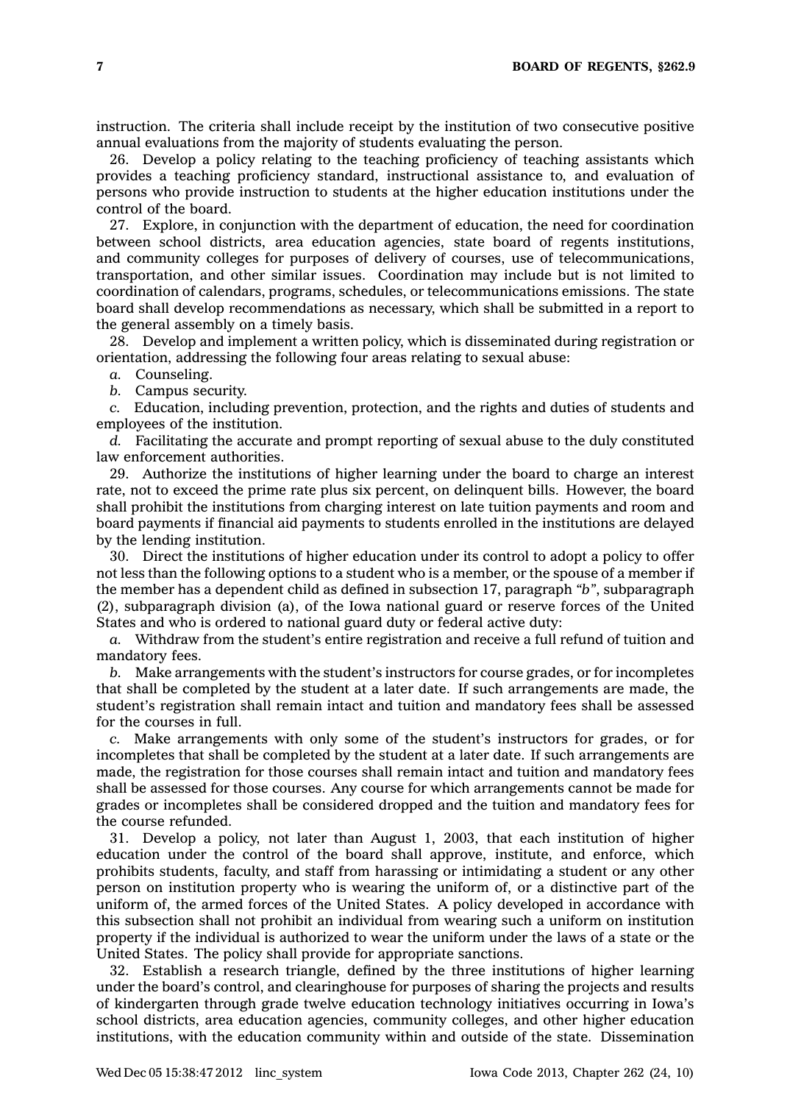instruction. The criteria shall include receipt by the institution of two consecutive positive annual evaluations from the majority of students evaluating the person.

26. Develop <sup>a</sup> policy relating to the teaching proficiency of teaching assistants which provides <sup>a</sup> teaching proficiency standard, instructional assistance to, and evaluation of persons who provide instruction to students at the higher education institutions under the control of the board.

27. Explore, in conjunction with the department of education, the need for coordination between school districts, area education agencies, state board of regents institutions, and community colleges for purposes of delivery of courses, use of telecommunications, transportation, and other similar issues. Coordination may include but is not limited to coordination of calendars, programs, schedules, or telecommunications emissions. The state board shall develop recommendations as necessary, which shall be submitted in <sup>a</sup> report to the general assembly on <sup>a</sup> timely basis.

28. Develop and implement <sup>a</sup> written policy, which is disseminated during registration or orientation, addressing the following four areas relating to sexual abuse:

*a.* Counseling.

*b.* Campus security.

*c.* Education, including prevention, protection, and the rights and duties of students and employees of the institution.

*d.* Facilitating the accurate and prompt reporting of sexual abuse to the duly constituted law enforcement authorities.

29. Authorize the institutions of higher learning under the board to charge an interest rate, not to exceed the prime rate plus six percent, on delinquent bills. However, the board shall prohibit the institutions from charging interest on late tuition payments and room and board payments if financial aid payments to students enrolled in the institutions are delayed by the lending institution.

30. Direct the institutions of higher education under its control to adopt <sup>a</sup> policy to offer not less than the following options to <sup>a</sup> student who is <sup>a</sup> member, or the spouse of <sup>a</sup> member if the member has <sup>a</sup> dependent child as defined in subsection 17, paragraph *"b"*, subparagraph (2), subparagraph division (a), of the Iowa national guard or reserve forces of the United States and who is ordered to national guard duty or federal active duty:

*a.* Withdraw from the student's entire registration and receive <sup>a</sup> full refund of tuition and mandatory fees.

*b.* Make arrangements with the student's instructors for course grades, or for incompletes that shall be completed by the student at <sup>a</sup> later date. If such arrangements are made, the student's registration shall remain intact and tuition and mandatory fees shall be assessed for the courses in full.

*c.* Make arrangements with only some of the student's instructors for grades, or for incompletes that shall be completed by the student at <sup>a</sup> later date. If such arrangements are made, the registration for those courses shall remain intact and tuition and mandatory fees shall be assessed for those courses. Any course for which arrangements cannot be made for grades or incompletes shall be considered dropped and the tuition and mandatory fees for the course refunded.

31. Develop <sup>a</sup> policy, not later than August 1, 2003, that each institution of higher education under the control of the board shall approve, institute, and enforce, which prohibits students, faculty, and staff from harassing or intimidating <sup>a</sup> student or any other person on institution property who is wearing the uniform of, or <sup>a</sup> distinctive part of the uniform of, the armed forces of the United States. A policy developed in accordance with this subsection shall not prohibit an individual from wearing such <sup>a</sup> uniform on institution property if the individual is authorized to wear the uniform under the laws of <sup>a</sup> state or the United States. The policy shall provide for appropriate sanctions.

32. Establish <sup>a</sup> research triangle, defined by the three institutions of higher learning under the board's control, and clearinghouse for purposes of sharing the projects and results of kindergarten through grade twelve education technology initiatives occurring in Iowa's school districts, area education agencies, community colleges, and other higher education institutions, with the education community within and outside of the state. Dissemination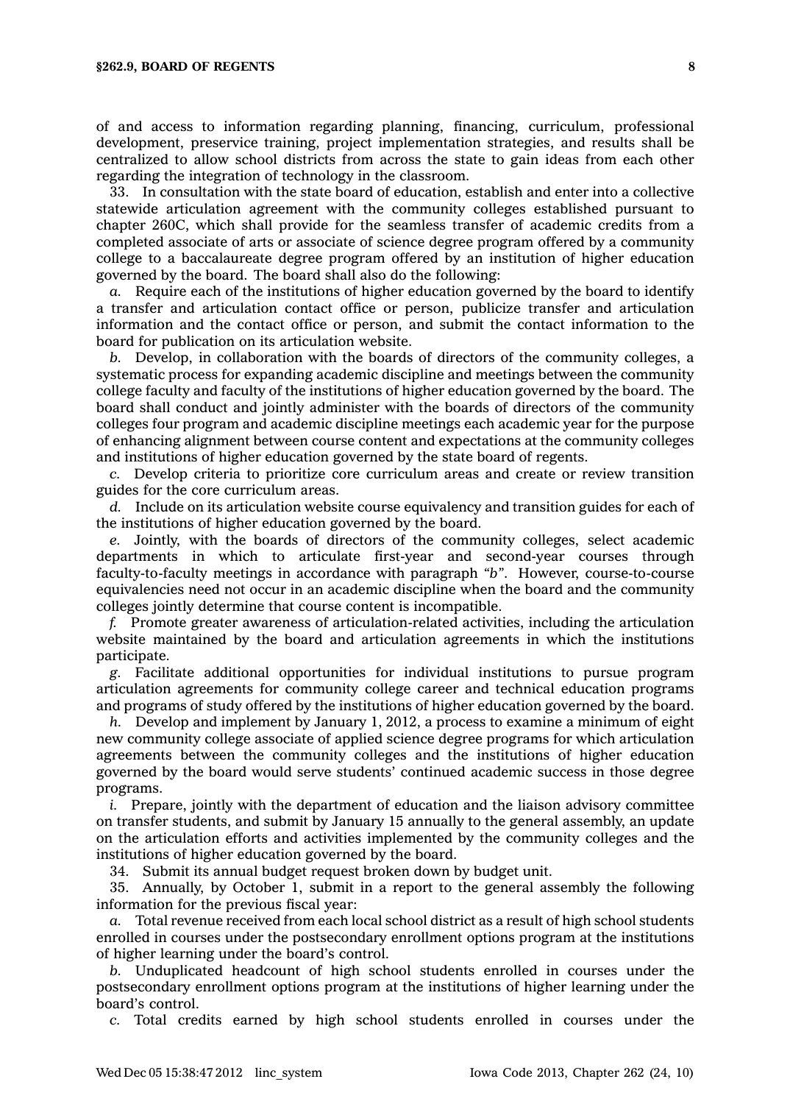of and access to information regarding planning, financing, curriculum, professional development, preservice training, project implementation strategies, and results shall be centralized to allow school districts from across the state to gain ideas from each other regarding the integration of technology in the classroom.

33. In consultation with the state board of education, establish and enter into <sup>a</sup> collective statewide articulation agreement with the community colleges established pursuant to chapter 260C, which shall provide for the seamless transfer of academic credits from <sup>a</sup> completed associate of arts or associate of science degree program offered by <sup>a</sup> community college to <sup>a</sup> baccalaureate degree program offered by an institution of higher education governed by the board. The board shall also do the following:

*a.* Require each of the institutions of higher education governed by the board to identify <sup>a</sup> transfer and articulation contact office or person, publicize transfer and articulation information and the contact office or person, and submit the contact information to the board for publication on its articulation website.

*b.* Develop, in collaboration with the boards of directors of the community colleges, <sup>a</sup> systematic process for expanding academic discipline and meetings between the community college faculty and faculty of the institutions of higher education governed by the board. The board shall conduct and jointly administer with the boards of directors of the community colleges four program and academic discipline meetings each academic year for the purpose of enhancing alignment between course content and expectations at the community colleges and institutions of higher education governed by the state board of regents.

*c.* Develop criteria to prioritize core curriculum areas and create or review transition guides for the core curriculum areas.

*d.* Include on its articulation website course equivalency and transition guides for each of the institutions of higher education governed by the board.

*e.* Jointly, with the boards of directors of the community colleges, select academic departments in which to articulate first-year and second-year courses through faculty-to-faculty meetings in accordance with paragraph *"b"*. However, course-to-course equivalencies need not occur in an academic discipline when the board and the community colleges jointly determine that course content is incompatible.

*f.* Promote greater awareness of articulation-related activities, including the articulation website maintained by the board and articulation agreements in which the institutions participate.

*g.* Facilitate additional opportunities for individual institutions to pursue program articulation agreements for community college career and technical education programs and programs of study offered by the institutions of higher education governed by the board.

*h.* Develop and implement by January 1, 2012, <sup>a</sup> process to examine <sup>a</sup> minimum of eight new community college associate of applied science degree programs for which articulation agreements between the community colleges and the institutions of higher education governed by the board would serve students' continued academic success in those degree programs.

*i.* Prepare, jointly with the department of education and the liaison advisory committee on transfer students, and submit by January 15 annually to the general assembly, an update on the articulation efforts and activities implemented by the community colleges and the institutions of higher education governed by the board.

34. Submit its annual budget request broken down by budget unit.

35. Annually, by October 1, submit in <sup>a</sup> report to the general assembly the following information for the previous fiscal year:

*a.* Total revenue received from each local school district as <sup>a</sup> result of high school students enrolled in courses under the postsecondary enrollment options program at the institutions of higher learning under the board's control.

*b.* Unduplicated headcount of high school students enrolled in courses under the postsecondary enrollment options program at the institutions of higher learning under the board's control.

*c.* Total credits earned by high school students enrolled in courses under the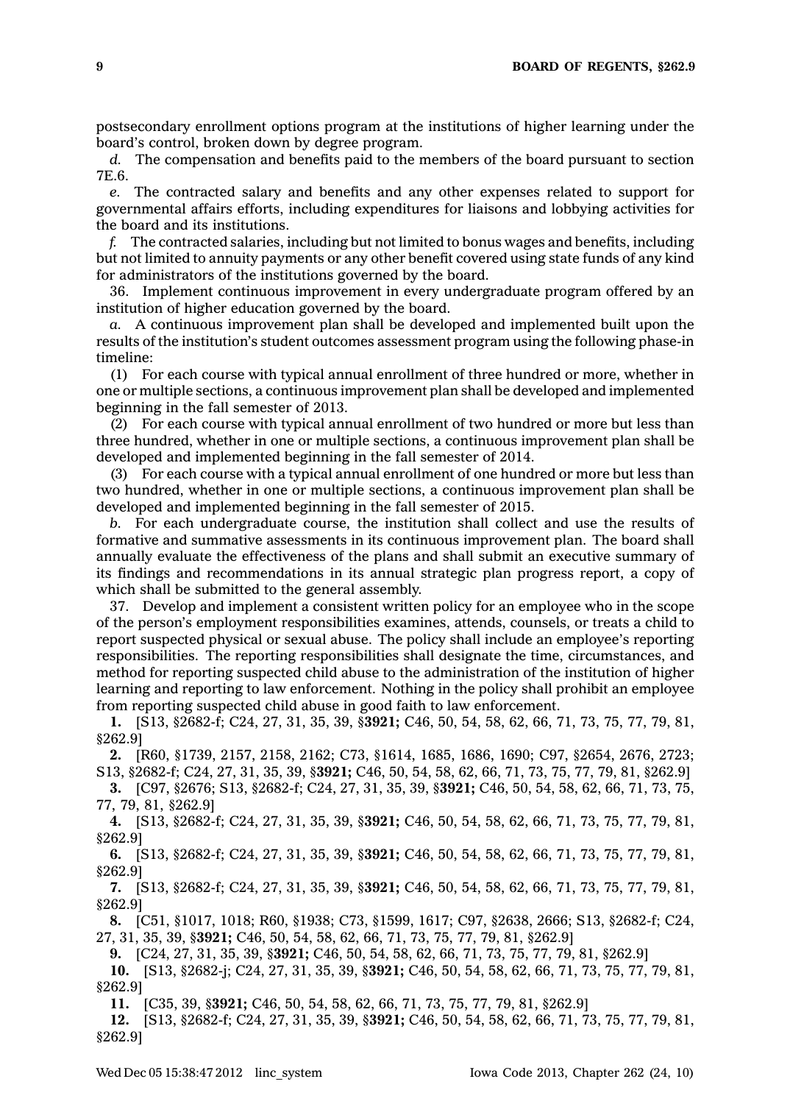postsecondary enrollment options program at the institutions of higher learning under the board's control, broken down by degree program.

*d.* The compensation and benefits paid to the members of the board pursuant to section 7E.6.

*e.* The contracted salary and benefits and any other expenses related to support for governmental affairs efforts, including expenditures for liaisons and lobbying activities for the board and its institutions.

*f.* The contracted salaries, including but not limited to bonus wages and benefits, including but not limited to annuity payments or any other benefit covered using state funds of any kind for administrators of the institutions governed by the board.

36. Implement continuous improvement in every undergraduate program offered by an institution of higher education governed by the board.

*a.* A continuous improvement plan shall be developed and implemented built upon the results of the institution's student outcomes assessment program using the following phase-in timeline:

(1) For each course with typical annual enrollment of three hundred or more, whether in one or multiple sections, <sup>a</sup> continuous improvement plan shall be developed and implemented beginning in the fall semester of 2013.

(2) For each course with typical annual enrollment of two hundred or more but less than three hundred, whether in one or multiple sections, <sup>a</sup> continuous improvement plan shall be developed and implemented beginning in the fall semester of 2014.

(3) For each course with <sup>a</sup> typical annual enrollment of one hundred or more but less than two hundred, whether in one or multiple sections, <sup>a</sup> continuous improvement plan shall be developed and implemented beginning in the fall semester of 2015.

*b.* For each undergraduate course, the institution shall collect and use the results of formative and summative assessments in its continuous improvement plan. The board shall annually evaluate the effectiveness of the plans and shall submit an executive summary of its findings and recommendations in its annual strategic plan progress report, <sup>a</sup> copy of which shall be submitted to the general assembly.

37. Develop and implement <sup>a</sup> consistent written policy for an employee who in the scope of the person's employment responsibilities examines, attends, counsels, or treats <sup>a</sup> child to report suspected physical or sexual abuse. The policy shall include an employee's reporting responsibilities. The reporting responsibilities shall designate the time, circumstances, and method for reporting suspected child abuse to the administration of the institution of higher learning and reporting to law enforcement. Nothing in the policy shall prohibit an employee from reporting suspected child abuse in good faith to law enforcement.

**1.** [S13, §2682-f; C24, 27, 31, 35, 39, §**3921;** C46, 50, 54, 58, 62, 66, 71, 73, 75, 77, 79, 81, §262.9]

**2.** [R60, §1739, 2157, 2158, 2162; C73, §1614, 1685, 1686, 1690; C97, §2654, 2676, 2723; S13, §2682-f; C24, 27, 31, 35, 39, §**3921;** C46, 50, 54, 58, 62, 66, 71, 73, 75, 77, 79, 81, §262.9]

**3.** [C97, §2676; S13, §2682-f; C24, 27, 31, 35, 39, §**3921;** C46, 50, 54, 58, 62, 66, 71, 73, 75, 77, 79, 81, §262.9]

**4.** [S13, §2682-f; C24, 27, 31, 35, 39, §**3921;** C46, 50, 54, 58, 62, 66, 71, 73, 75, 77, 79, 81, §262.9]

**6.** [S13, §2682-f; C24, 27, 31, 35, 39, §**3921;** C46, 50, 54, 58, 62, 66, 71, 73, 75, 77, 79, 81, §262.9]

**7.** [S13, §2682-f; C24, 27, 31, 35, 39, §**3921;** C46, 50, 54, 58, 62, 66, 71, 73, 75, 77, 79, 81, §262.9]

**8.** [C51, §1017, 1018; R60, §1938; C73, §1599, 1617; C97, §2638, 2666; S13, §2682-f; C24, 27, 31, 35, 39, §**3921;** C46, 50, 54, 58, 62, 66, 71, 73, 75, 77, 79, 81, §262.9]

**9.** [C24, 27, 31, 35, 39, §**3921;** C46, 50, 54, 58, 62, 66, 71, 73, 75, 77, 79, 81, §262.9]

**10.** [S13, §2682-j; C24, 27, 31, 35, 39, §**3921;** C46, 50, 54, 58, 62, 66, 71, 73, 75, 77, 79, 81, §262.9]

**11.** [C35, 39, §**3921;** C46, 50, 54, 58, 62, 66, 71, 73, 75, 77, 79, 81, §262.9]

**12.** [S13, §2682-f; C24, 27, 31, 35, 39, §**3921;** C46, 50, 54, 58, 62, 66, 71, 73, 75, 77, 79, 81, §262.9]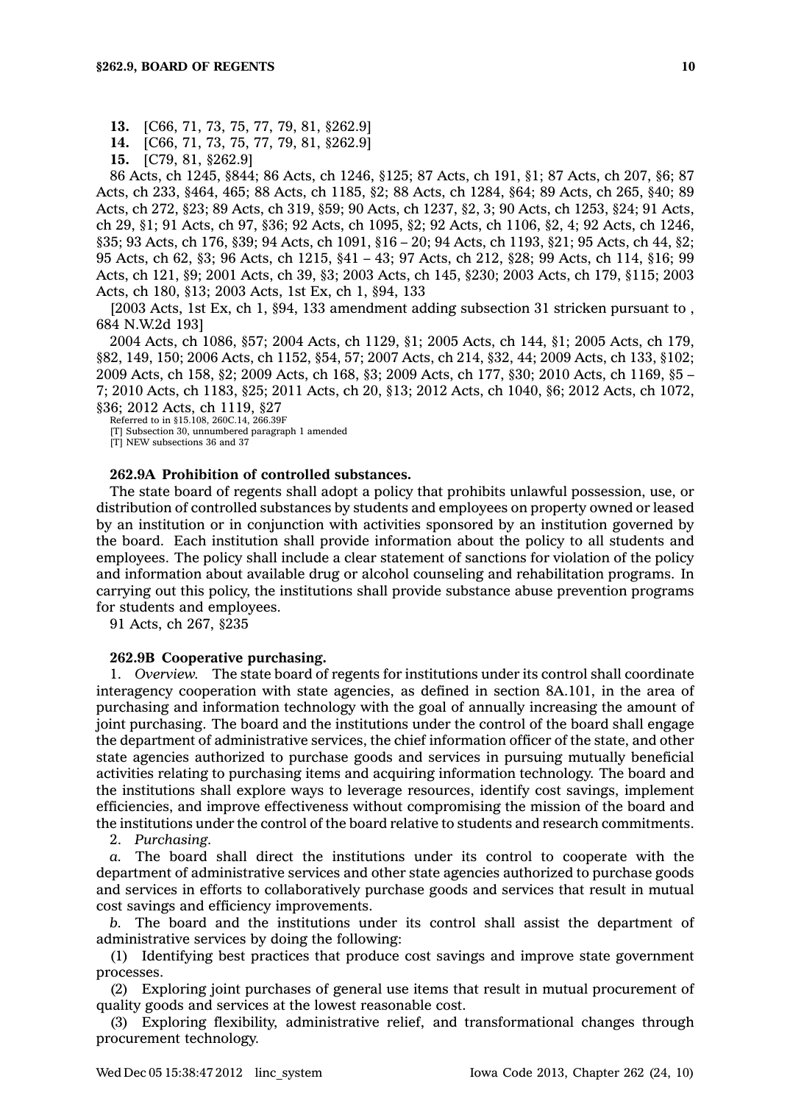**13.** [C66, 71, 73, 75, 77, 79, 81, §262.9]

**14.** [C66, 71, 73, 75, 77, 79, 81, §262.9]

**15.** [C79, 81, §262.9]

86 Acts, ch 1245, §844; 86 Acts, ch 1246, §125; 87 Acts, ch 191, §1; 87 Acts, ch 207, §6; 87 Acts, ch 233, §464, 465; 88 Acts, ch 1185, §2; 88 Acts, ch 1284, §64; 89 Acts, ch 265, §40; 89 Acts, ch 272, §23; 89 Acts, ch 319, §59; 90 Acts, ch 1237, §2, 3; 90 Acts, ch 1253, §24; 91 Acts, ch 29, §1; 91 Acts, ch 97, §36; 92 Acts, ch 1095, §2; 92 Acts, ch 1106, §2, 4; 92 Acts, ch 1246, §35; 93 Acts, ch 176, §39; 94 Acts, ch 1091, §16 – 20; 94 Acts, ch 1193, §21; 95 Acts, ch 44, §2; 95 Acts, ch 62, §3; 96 Acts, ch 1215, §41 – 43; 97 Acts, ch 212, §28; 99 Acts, ch 114, §16; 99 Acts, ch 121, §9; 2001 Acts, ch 39, §3; 2003 Acts, ch 145, §230; 2003 Acts, ch 179, §115; 2003 Acts, ch 180, §13; 2003 Acts, 1st Ex, ch 1, §94, 133

[2003 Acts, 1st Ex, ch 1, §94, 133 amendment adding subsection 31 stricken pursuant to , 684 N.W.2d 193]

2004 Acts, ch 1086, §57; 2004 Acts, ch 1129, §1; 2005 Acts, ch 144, §1; 2005 Acts, ch 179, §82, 149, 150; 2006 Acts, ch 1152, §54, 57; 2007 Acts, ch 214, §32, 44; 2009 Acts, ch 133, §102; 2009 Acts, ch 158, §2; 2009 Acts, ch 168, §3; 2009 Acts, ch 177, §30; 2010 Acts, ch 1169, §5 – 7; 2010 Acts, ch 1183, §25; 2011 Acts, ch 20, §13; 2012 Acts, ch 1040, §6; 2012 Acts, ch 1072, §36; 2012 Acts, ch 1119, §27

Referred to in §15.108, 260C.14, 266.39F

[T] Subsection 30, unnumbered paragraph 1 amended

[T] NEW subsections 36 and 37

### **262.9A Prohibition of controlled substances.**

The state board of regents shall adopt <sup>a</sup> policy that prohibits unlawful possession, use, or distribution of controlled substances by students and employees on property owned or leased by an institution or in conjunction with activities sponsored by an institution governed by the board. Each institution shall provide information about the policy to all students and employees. The policy shall include <sup>a</sup> clear statement of sanctions for violation of the policy and information about available drug or alcohol counseling and rehabilitation programs. In carrying out this policy, the institutions shall provide substance abuse prevention programs for students and employees.

91 Acts, ch 267, §235

#### **262.9B Cooperative purchasing.**

1. *Overview.* The state board of regents for institutions under its control shall coordinate interagency cooperation with state agencies, as defined in section 8A.101, in the area of purchasing and information technology with the goal of annually increasing the amount of joint purchasing. The board and the institutions under the control of the board shall engage the department of administrative services, the chief information officer of the state, and other state agencies authorized to purchase goods and services in pursuing mutually beneficial activities relating to purchasing items and acquiring information technology. The board and the institutions shall explore ways to leverage resources, identify cost savings, implement efficiencies, and improve effectiveness without compromising the mission of the board and the institutions under the control of the board relative to students and research commitments.

2. *Purchasing.*

*a.* The board shall direct the institutions under its control to cooperate with the department of administrative services and other state agencies authorized to purchase goods and services in efforts to collaboratively purchase goods and services that result in mutual cost savings and efficiency improvements.

*b.* The board and the institutions under its control shall assist the department of administrative services by doing the following:

(1) Identifying best practices that produce cost savings and improve state government processes.

(2) Exploring joint purchases of general use items that result in mutual procurement of quality goods and services at the lowest reasonable cost.

(3) Exploring flexibility, administrative relief, and transformational changes through procurement technology.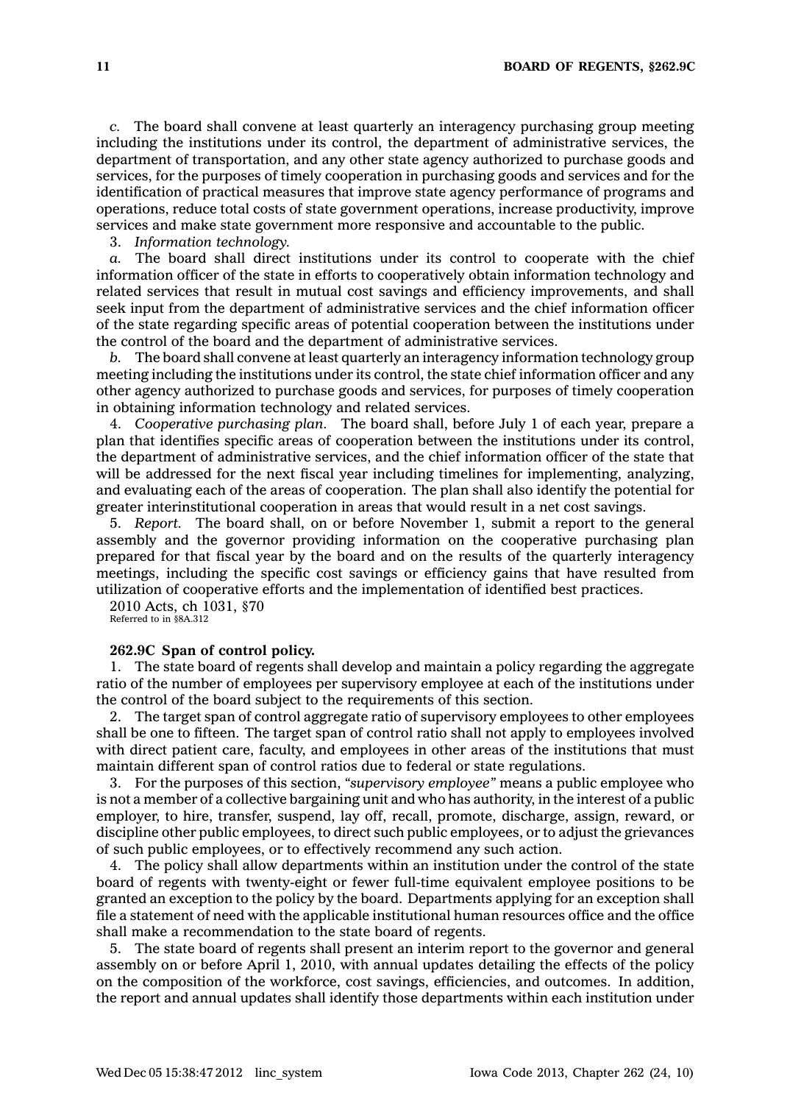*c.* The board shall convene at least quarterly an interagency purchasing group meeting including the institutions under its control, the department of administrative services, the department of transportation, and any other state agency authorized to purchase goods and services, for the purposes of timely cooperation in purchasing goods and services and for the identification of practical measures that improve state agency performance of programs and operations, reduce total costs of state government operations, increase productivity, improve services and make state government more responsive and accountable to the public.

3. *Information technology.*

*a.* The board shall direct institutions under its control to cooperate with the chief information officer of the state in efforts to cooperatively obtain information technology and related services that result in mutual cost savings and efficiency improvements, and shall seek input from the department of administrative services and the chief information officer of the state regarding specific areas of potential cooperation between the institutions under the control of the board and the department of administrative services.

*b.* The board shall convene at least quarterly an interagency information technology group meeting including the institutions under its control, the state chief information officer and any other agency authorized to purchase goods and services, for purposes of timely cooperation in obtaining information technology and related services.

4. *Cooperative purchasing plan.* The board shall, before July 1 of each year, prepare <sup>a</sup> plan that identifies specific areas of cooperation between the institutions under its control, the department of administrative services, and the chief information officer of the state that will be addressed for the next fiscal year including timelines for implementing, analyzing, and evaluating each of the areas of cooperation. The plan shall also identify the potential for greater interinstitutional cooperation in areas that would result in <sup>a</sup> net cost savings.

5. *Report.* The board shall, on or before November 1, submit <sup>a</sup> report to the general assembly and the governor providing information on the cooperative purchasing plan prepared for that fiscal year by the board and on the results of the quarterly interagency meetings, including the specific cost savings or efficiency gains that have resulted from utilization of cooperative efforts and the implementation of identified best practices.

2010 Acts, ch 1031, §70 Referred to in §8A.312

#### **262.9C Span of control policy.**

1. The state board of regents shall develop and maintain <sup>a</sup> policy regarding the aggregate ratio of the number of employees per supervisory employee at each of the institutions under the control of the board subject to the requirements of this section.

2. The target span of control aggregate ratio of supervisory employees to other employees shall be one to fifteen. The target span of control ratio shall not apply to employees involved with direct patient care, faculty, and employees in other areas of the institutions that must maintain different span of control ratios due to federal or state regulations.

3. For the purposes of this section, *"supervisory employee"* means <sup>a</sup> public employee who is not <sup>a</sup> member of <sup>a</sup> collective bargaining unit and who has authority, in the interest of <sup>a</sup> public employer, to hire, transfer, suspend, lay off, recall, promote, discharge, assign, reward, or discipline other public employees, to direct such public employees, or to adjust the grievances of such public employees, or to effectively recommend any such action.

4. The policy shall allow departments within an institution under the control of the state board of regents with twenty-eight or fewer full-time equivalent employee positions to be granted an exception to the policy by the board. Departments applying for an exception shall file <sup>a</sup> statement of need with the applicable institutional human resources office and the office shall make <sup>a</sup> recommendation to the state board of regents.

5. The state board of regents shall present an interim report to the governor and general assembly on or before April 1, 2010, with annual updates detailing the effects of the policy on the composition of the workforce, cost savings, efficiencies, and outcomes. In addition, the report and annual updates shall identify those departments within each institution under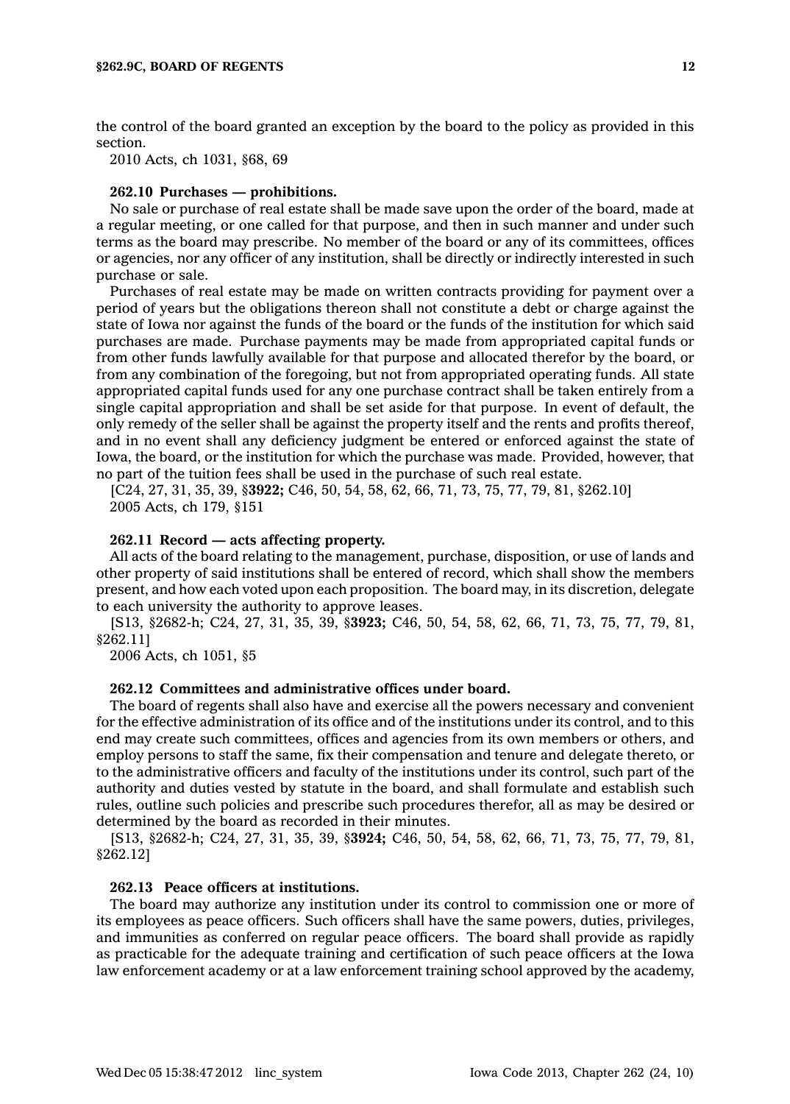the control of the board granted an exception by the board to the policy as provided in this section.

2010 Acts, ch 1031, §68, 69

## **262.10 Purchases — prohibitions.**

No sale or purchase of real estate shall be made save upon the order of the board, made at <sup>a</sup> regular meeting, or one called for that purpose, and then in such manner and under such terms as the board may prescribe. No member of the board or any of its committees, offices or agencies, nor any officer of any institution, shall be directly or indirectly interested in such purchase or sale.

Purchases of real estate may be made on written contracts providing for payment over <sup>a</sup> period of years but the obligations thereon shall not constitute <sup>a</sup> debt or charge against the state of Iowa nor against the funds of the board or the funds of the institution for which said purchases are made. Purchase payments may be made from appropriated capital funds or from other funds lawfully available for that purpose and allocated therefor by the board, or from any combination of the foregoing, but not from appropriated operating funds. All state appropriated capital funds used for any one purchase contract shall be taken entirely from <sup>a</sup> single capital appropriation and shall be set aside for that purpose. In event of default, the only remedy of the seller shall be against the property itself and the rents and profits thereof, and in no event shall any deficiency judgment be entered or enforced against the state of Iowa, the board, or the institution for which the purchase was made. Provided, however, that no part of the tuition fees shall be used in the purchase of such real estate.

[C24, 27, 31, 35, 39, §**3922;** C46, 50, 54, 58, 62, 66, 71, 73, 75, 77, 79, 81, §262.10] 2005 Acts, ch 179, §151

## **262.11 Record — acts affecting property.**

All acts of the board relating to the management, purchase, disposition, or use of lands and other property of said institutions shall be entered of record, which shall show the members present, and how each voted upon each proposition. The board may, in its discretion, delegate to each university the authority to approve leases.

[S13, §2682-h; C24, 27, 31, 35, 39, §**3923;** C46, 50, 54, 58, 62, 66, 71, 73, 75, 77, 79, 81, §262.11]

2006 Acts, ch 1051, §5

## **262.12 Committees and administrative offices under board.**

The board of regents shall also have and exercise all the powers necessary and convenient for the effective administration of its office and of the institutions under its control, and to this end may create such committees, offices and agencies from its own members or others, and employ persons to staff the same, fix their compensation and tenure and delegate thereto, or to the administrative officers and faculty of the institutions under its control, such part of the authority and duties vested by statute in the board, and shall formulate and establish such rules, outline such policies and prescribe such procedures therefor, all as may be desired or determined by the board as recorded in their minutes.

[S13, §2682-h; C24, 27, 31, 35, 39, §**3924;** C46, 50, 54, 58, 62, 66, 71, 73, 75, 77, 79, 81, §262.12]

## **262.13 Peace officers at institutions.**

The board may authorize any institution under its control to commission one or more of its employees as peace officers. Such officers shall have the same powers, duties, privileges, and immunities as conferred on regular peace officers. The board shall provide as rapidly as practicable for the adequate training and certification of such peace officers at the Iowa law enforcement academy or at <sup>a</sup> law enforcement training school approved by the academy,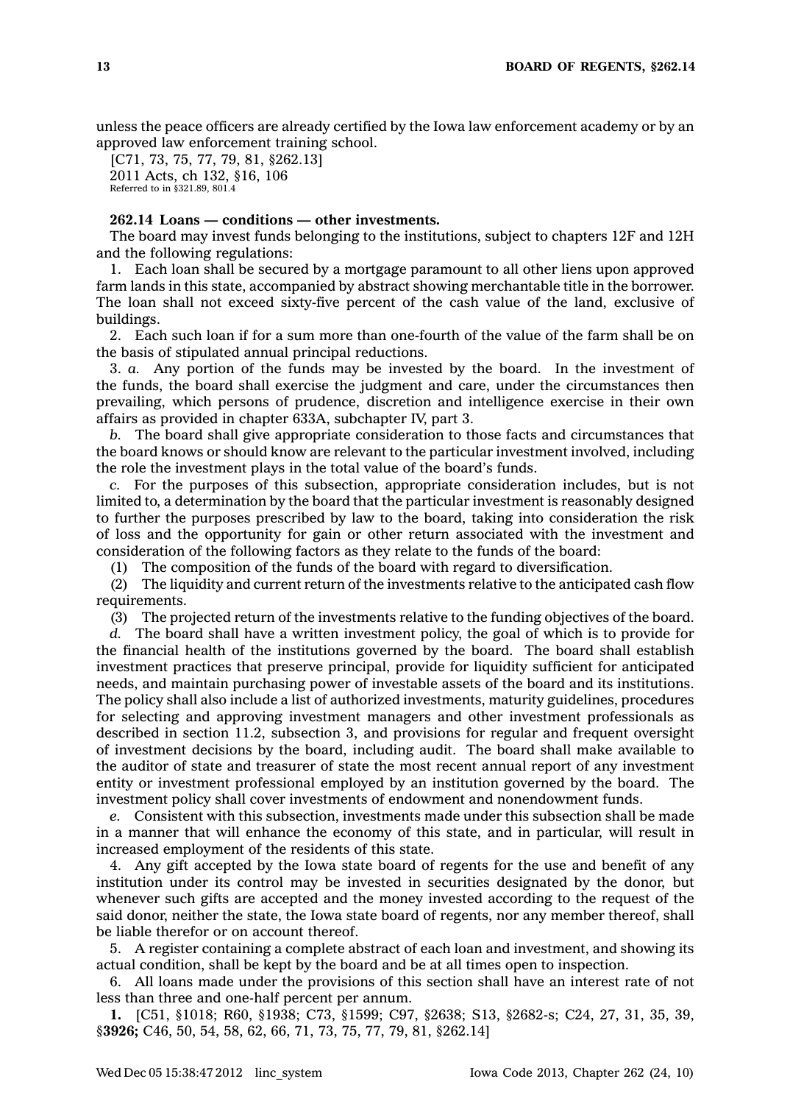unless the peace officers are already certified by the Iowa law enforcement academy or by an approved law enforcement training school.

[C71, 73, 75, 77, 79, 81, §262.13] 2011 Acts, ch 132, §16, 106 Referred to in §321.89, 801.4

## **262.14 Loans — conditions — other investments.**

The board may invest funds belonging to the institutions, subject to chapters 12F and 12H and the following regulations:

1. Each loan shall be secured by <sup>a</sup> mortgage paramount to all other liens upon approved farm lands in this state, accompanied by abstract showing merchantable title in the borrower. The loan shall not exceed sixty-five percent of the cash value of the land, exclusive of buildings.

2. Each such loan if for <sup>a</sup> sum more than one-fourth of the value of the farm shall be on the basis of stipulated annual principal reductions.

3. *a.* Any portion of the funds may be invested by the board. In the investment of the funds, the board shall exercise the judgment and care, under the circumstances then prevailing, which persons of prudence, discretion and intelligence exercise in their own affairs as provided in chapter 633A, subchapter IV, part 3.

*b.* The board shall give appropriate consideration to those facts and circumstances that the board knows or should know are relevant to the particular investment involved, including the role the investment plays in the total value of the board's funds.

*c.* For the purposes of this subsection, appropriate consideration includes, but is not limited to, <sup>a</sup> determination by the board that the particular investment is reasonably designed to further the purposes prescribed by law to the board, taking into consideration the risk of loss and the opportunity for gain or other return associated with the investment and consideration of the following factors as they relate to the funds of the board:

(1) The composition of the funds of the board with regard to diversification.

(2) The liquidity and current return of the investments relative to the anticipated cash flow requirements.

(3) The projected return of the investments relative to the funding objectives of the board.

*d.* The board shall have <sup>a</sup> written investment policy, the goal of which is to provide for the financial health of the institutions governed by the board. The board shall establish investment practices that preserve principal, provide for liquidity sufficient for anticipated needs, and maintain purchasing power of investable assets of the board and its institutions. The policy shall also include <sup>a</sup> list of authorized investments, maturity guidelines, procedures for selecting and approving investment managers and other investment professionals as described in section 11.2, subsection 3, and provisions for regular and frequent oversight of investment decisions by the board, including audit. The board shall make available to the auditor of state and treasurer of state the most recent annual report of any investment entity or investment professional employed by an institution governed by the board. The investment policy shall cover investments of endowment and nonendowment funds.

*e.* Consistent with this subsection, investments made under this subsection shall be made in <sup>a</sup> manner that will enhance the economy of this state, and in particular, will result in increased employment of the residents of this state.

4. Any gift accepted by the Iowa state board of regents for the use and benefit of any institution under its control may be invested in securities designated by the donor, but whenever such gifts are accepted and the money invested according to the request of the said donor, neither the state, the Iowa state board of regents, nor any member thereof, shall be liable therefor or on account thereof.

5. A register containing <sup>a</sup> complete abstract of each loan and investment, and showing its actual condition, shall be kept by the board and be at all times open to inspection.

6. All loans made under the provisions of this section shall have an interest rate of not less than three and one-half percent per annum.

**1.** [C51, §1018; R60, §1938; C73, §1599; C97, §2638; S13, §2682-s; C24, 27, 31, 35, 39, §**3926;** C46, 50, 54, 58, 62, 66, 71, 73, 75, 77, 79, 81, §262.14]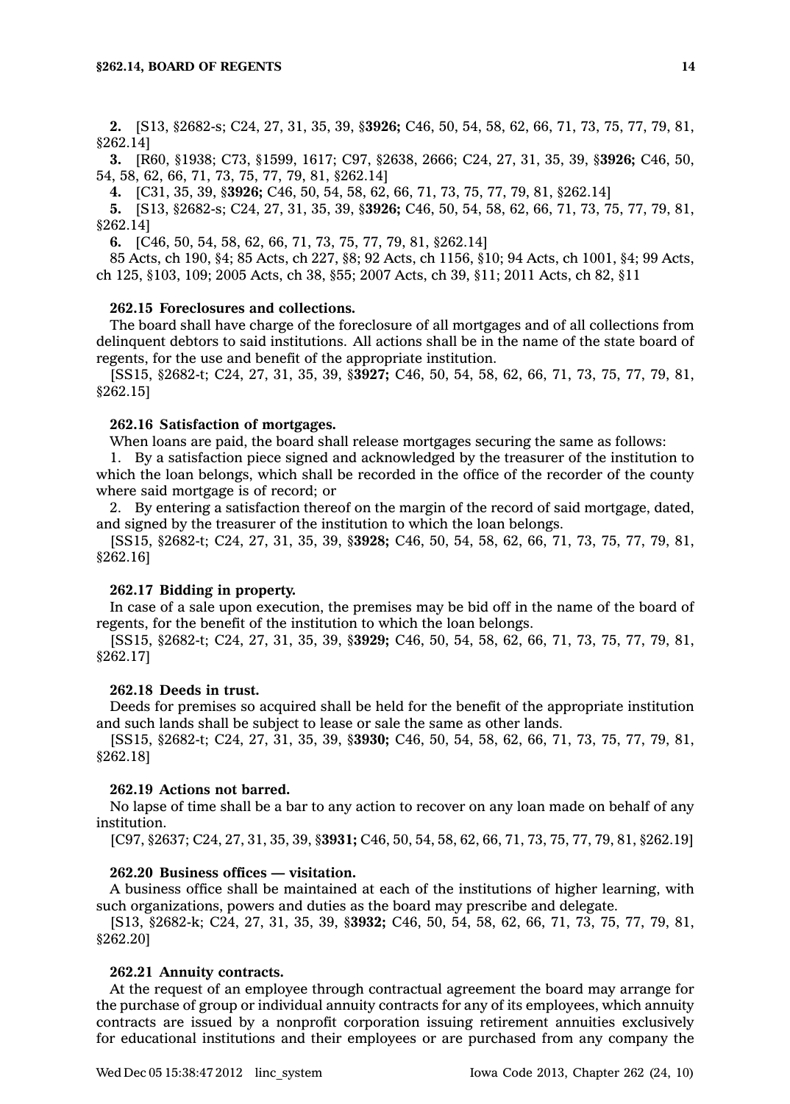**2.** [S13, §2682-s; C24, 27, 31, 35, 39, §**3926;** C46, 50, 54, 58, 62, 66, 71, 73, 75, 77, 79, 81, §262.14]

**3.** [R60, §1938; C73, §1599, 1617; C97, §2638, 2666; C24, 27, 31, 35, 39, §**3926;** C46, 50, 54, 58, 62, 66, 71, 73, 75, 77, 79, 81, §262.14]

**4.** [C31, 35, 39, §**3926;** C46, 50, 54, 58, 62, 66, 71, 73, 75, 77, 79, 81, §262.14]

**5.** [S13, §2682-s; C24, 27, 31, 35, 39, §**3926;** C46, 50, 54, 58, 62, 66, 71, 73, 75, 77, 79, 81, §262.14]

**6.** [C46, 50, 54, 58, 62, 66, 71, 73, 75, 77, 79, 81, §262.14]

85 Acts, ch 190, §4; 85 Acts, ch 227, §8; 92 Acts, ch 1156, §10; 94 Acts, ch 1001, §4; 99 Acts, ch 125, §103, 109; 2005 Acts, ch 38, §55; 2007 Acts, ch 39, §11; 2011 Acts, ch 82, §11

## **262.15 Foreclosures and collections.**

The board shall have charge of the foreclosure of all mortgages and of all collections from delinquent debtors to said institutions. All actions shall be in the name of the state board of regents, for the use and benefit of the appropriate institution.

[SS15, §2682-t; C24, 27, 31, 35, 39, §**3927;** C46, 50, 54, 58, 62, 66, 71, 73, 75, 77, 79, 81, §262.15]

## **262.16 Satisfaction of mortgages.**

When loans are paid, the board shall release mortgages securing the same as follows:

1. By <sup>a</sup> satisfaction piece signed and acknowledged by the treasurer of the institution to which the loan belongs, which shall be recorded in the office of the recorder of the county where said mortgage is of record; or

2. By entering <sup>a</sup> satisfaction thereof on the margin of the record of said mortgage, dated, and signed by the treasurer of the institution to which the loan belongs.

[SS15, §2682-t; C24, 27, 31, 35, 39, §**3928;** C46, 50, 54, 58, 62, 66, 71, 73, 75, 77, 79, 81, §262.16]

#### **262.17 Bidding in property.**

In case of <sup>a</sup> sale upon execution, the premises may be bid off in the name of the board of regents, for the benefit of the institution to which the loan belongs.

[SS15, §2682-t; C24, 27, 31, 35, 39, §**3929;** C46, 50, 54, 58, 62, 66, 71, 73, 75, 77, 79, 81, §262.17]

## **262.18 Deeds in trust.**

Deeds for premises so acquired shall be held for the benefit of the appropriate institution and such lands shall be subject to lease or sale the same as other lands.

[SS15, §2682-t; C24, 27, 31, 35, 39, §**3930;** C46, 50, 54, 58, 62, 66, 71, 73, 75, 77, 79, 81, §262.18]

#### **262.19 Actions not barred.**

No lapse of time shall be <sup>a</sup> bar to any action to recover on any loan made on behalf of any institution.

[C97, §2637; C24, 27, 31, 35, 39, §**3931;** C46, 50, 54, 58, 62, 66, 71, 73, 75, 77, 79, 81, §262.19]

## **262.20 Business offices — visitation.**

A business office shall be maintained at each of the institutions of higher learning, with such organizations, powers and duties as the board may prescribe and delegate.

[S13, §2682-k; C24, 27, 31, 35, 39, §**3932;** C46, 50, 54, 58, 62, 66, 71, 73, 75, 77, 79, 81, §262.20]

### **262.21 Annuity contracts.**

At the request of an employee through contractual agreement the board may arrange for the purchase of group or individual annuity contracts for any of its employees, which annuity contracts are issued by <sup>a</sup> nonprofit corporation issuing retirement annuities exclusively for educational institutions and their employees or are purchased from any company the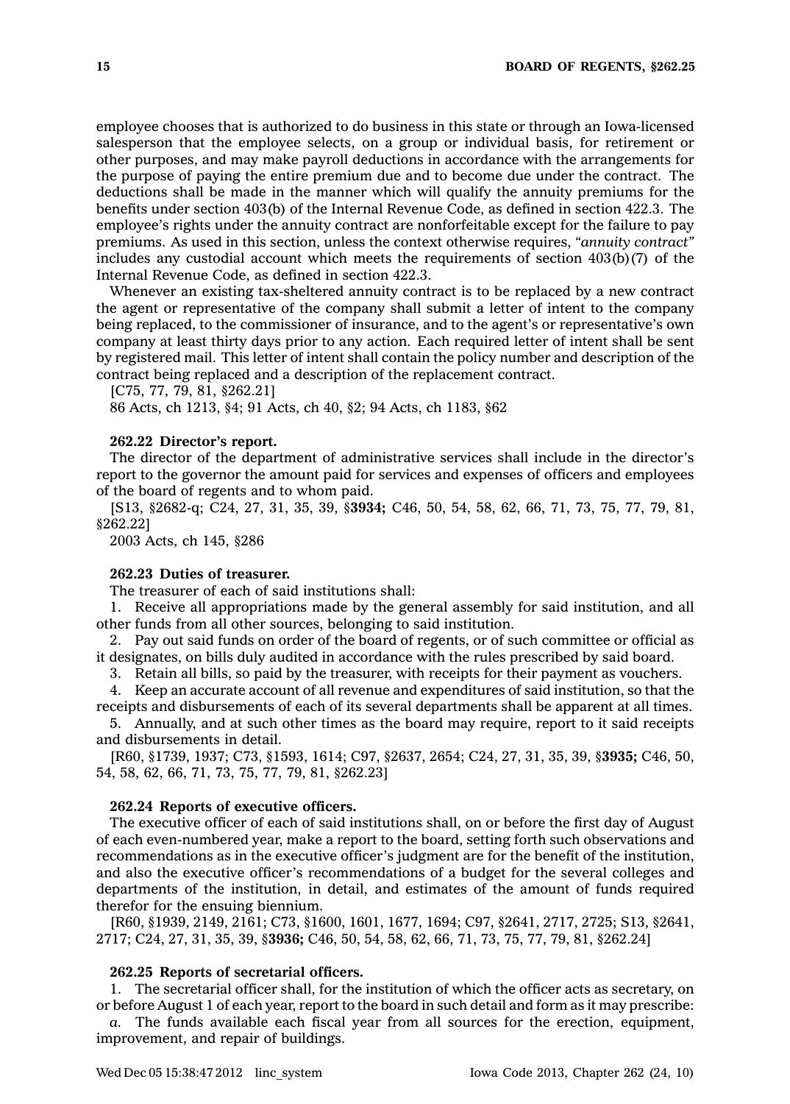employee chooses that is authorized to do business in this state or through an Iowa-licensed salesperson that the employee selects, on <sup>a</sup> group or individual basis, for retirement or other purposes, and may make payroll deductions in accordance with the arrangements for the purpose of paying the entire premium due and to become due under the contract. The deductions shall be made in the manner which will qualify the annuity premiums for the benefits under section 403(b) of the Internal Revenue Code, as defined in section 422.3. The employee's rights under the annuity contract are nonforfeitable except for the failure to pay premiums. As used in this section, unless the context otherwise requires, *"annuity contract"* includes any custodial account which meets the requirements of section  $403(b)(7)$  of the Internal Revenue Code, as defined in section 422.3.

Whenever an existing tax-sheltered annuity contract is to be replaced by <sup>a</sup> new contract the agent or representative of the company shall submit <sup>a</sup> letter of intent to the company being replaced, to the commissioner of insurance, and to the agent's or representative's own company at least thirty days prior to any action. Each required letter of intent shall be sent by registered mail. This letter of intent shall contain the policy number and description of the contract being replaced and <sup>a</sup> description of the replacement contract.

[C75, 77, 79, 81, §262.21]

86 Acts, ch 1213, §4; 91 Acts, ch 40, §2; 94 Acts, ch 1183, §62

#### **262.22 Director's report.**

The director of the department of administrative services shall include in the director's report to the governor the amount paid for services and expenses of officers and employees of the board of regents and to whom paid.

[S13, §2682-q; C24, 27, 31, 35, 39, §**3934;** C46, 50, 54, 58, 62, 66, 71, 73, 75, 77, 79, 81, §262.22]

2003 Acts, ch 145, §286

## **262.23 Duties of treasurer.**

The treasurer of each of said institutions shall:

1. Receive all appropriations made by the general assembly for said institution, and all other funds from all other sources, belonging to said institution.

2. Pay out said funds on order of the board of regents, or of such committee or official as it designates, on bills duly audited in accordance with the rules prescribed by said board.

3. Retain all bills, so paid by the treasurer, with receipts for their payment as vouchers.

4. Keep an accurate account of all revenue and expenditures of said institution, so that the receipts and disbursements of each of its several departments shall be apparent at all times.

5. Annually, and at such other times as the board may require, report to it said receipts and disbursements in detail.

[R60, §1739, 1937; C73, §1593, 1614; C97, §2637, 2654; C24, 27, 31, 35, 39, §**3935;** C46, 50, 54, 58, 62, 66, 71, 73, 75, 77, 79, 81, §262.23]

## **262.24 Reports of executive officers.**

The executive officer of each of said institutions shall, on or before the first day of August of each even-numbered year, make <sup>a</sup> report to the board, setting forth such observations and recommendations as in the executive officer's judgment are for the benefit of the institution, and also the executive officer's recommendations of <sup>a</sup> budget for the several colleges and departments of the institution, in detail, and estimates of the amount of funds required therefor for the ensuing biennium.

[R60, §1939, 2149, 2161; C73, §1600, 1601, 1677, 1694; C97, §2641, 2717, 2725; S13, §2641, 2717; C24, 27, 31, 35, 39, §**3936;** C46, 50, 54, 58, 62, 66, 71, 73, 75, 77, 79, 81, §262.24]

### **262.25 Reports of secretarial officers.**

1. The secretarial officer shall, for the institution of which the officer acts as secretary, on or before August 1 of each year, report to the board in such detail and form as it may prescribe:

*a.* The funds available each fiscal year from all sources for the erection, equipment, improvement, and repair of buildings.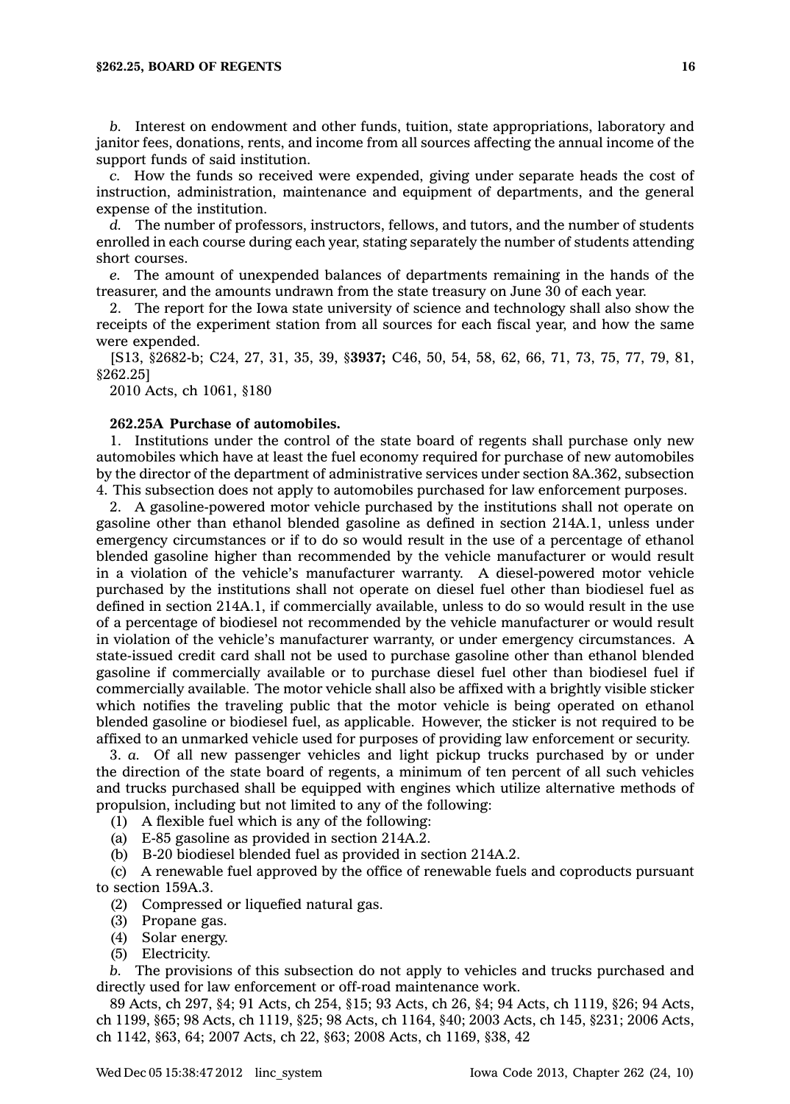*b.* Interest on endowment and other funds, tuition, state appropriations, laboratory and janitor fees, donations, rents, and income from all sources affecting the annual income of the support funds of said institution.

*c.* How the funds so received were expended, giving under separate heads the cost of instruction, administration, maintenance and equipment of departments, and the general expense of the institution.

*d.* The number of professors, instructors, fellows, and tutors, and the number of students enrolled in each course during each year, stating separately the number of students attending short courses.

*e.* The amount of unexpended balances of departments remaining in the hands of the treasurer, and the amounts undrawn from the state treasury on June 30 of each year.

2. The report for the Iowa state university of science and technology shall also show the receipts of the experiment station from all sources for each fiscal year, and how the same were expended.

[S13, §2682-b; C24, 27, 31, 35, 39, §**3937;** C46, 50, 54, 58, 62, 66, 71, 73, 75, 77, 79, 81, §262.25]

2010 Acts, ch 1061, §180

## **262.25A Purchase of automobiles.**

1. Institutions under the control of the state board of regents shall purchase only new automobiles which have at least the fuel economy required for purchase of new automobiles by the director of the department of administrative services under section 8A.362, subsection 4. This subsection does not apply to automobiles purchased for law enforcement purposes.

2. A gasoline-powered motor vehicle purchased by the institutions shall not operate on gasoline other than ethanol blended gasoline as defined in section 214A.1, unless under emergency circumstances or if to do so would result in the use of <sup>a</sup> percentage of ethanol blended gasoline higher than recommended by the vehicle manufacturer or would result in <sup>a</sup> violation of the vehicle's manufacturer warranty. A diesel-powered motor vehicle purchased by the institutions shall not operate on diesel fuel other than biodiesel fuel as defined in section 214A.1, if commercially available, unless to do so would result in the use of <sup>a</sup> percentage of biodiesel not recommended by the vehicle manufacturer or would result in violation of the vehicle's manufacturer warranty, or under emergency circumstances. A state-issued credit card shall not be used to purchase gasoline other than ethanol blended gasoline if commercially available or to purchase diesel fuel other than biodiesel fuel if commercially available. The motor vehicle shall also be affixed with <sup>a</sup> brightly visible sticker which notifies the traveling public that the motor vehicle is being operated on ethanol blended gasoline or biodiesel fuel, as applicable. However, the sticker is not required to be affixed to an unmarked vehicle used for purposes of providing law enforcement or security.

3. *a.* Of all new passenger vehicles and light pickup trucks purchased by or under the direction of the state board of regents, <sup>a</sup> minimum of ten percent of all such vehicles and trucks purchased shall be equipped with engines which utilize alternative methods of propulsion, including but not limited to any of the following:

(1) A flexible fuel which is any of the following:

(a) E-85 gasoline as provided in section 214A.2.

(b) B-20 biodiesel blended fuel as provided in section 214A.2.

(c) A renewable fuel approved by the office of renewable fuels and coproducts pursuant to section 159A.3.

- (2) Compressed or liquefied natural gas.
- (3) Propane gas.
- (4) Solar energy.
- (5) Electricity.

*b.* The provisions of this subsection do not apply to vehicles and trucks purchased and directly used for law enforcement or off-road maintenance work.

89 Acts, ch 297, §4; 91 Acts, ch 254, §15; 93 Acts, ch 26, §4; 94 Acts, ch 1119, §26; 94 Acts, ch 1199, §65; 98 Acts, ch 1119, §25; 98 Acts, ch 1164, §40; 2003 Acts, ch 145, §231; 2006 Acts, ch 1142, §63, 64; 2007 Acts, ch 22, §63; 2008 Acts, ch 1169, §38, 42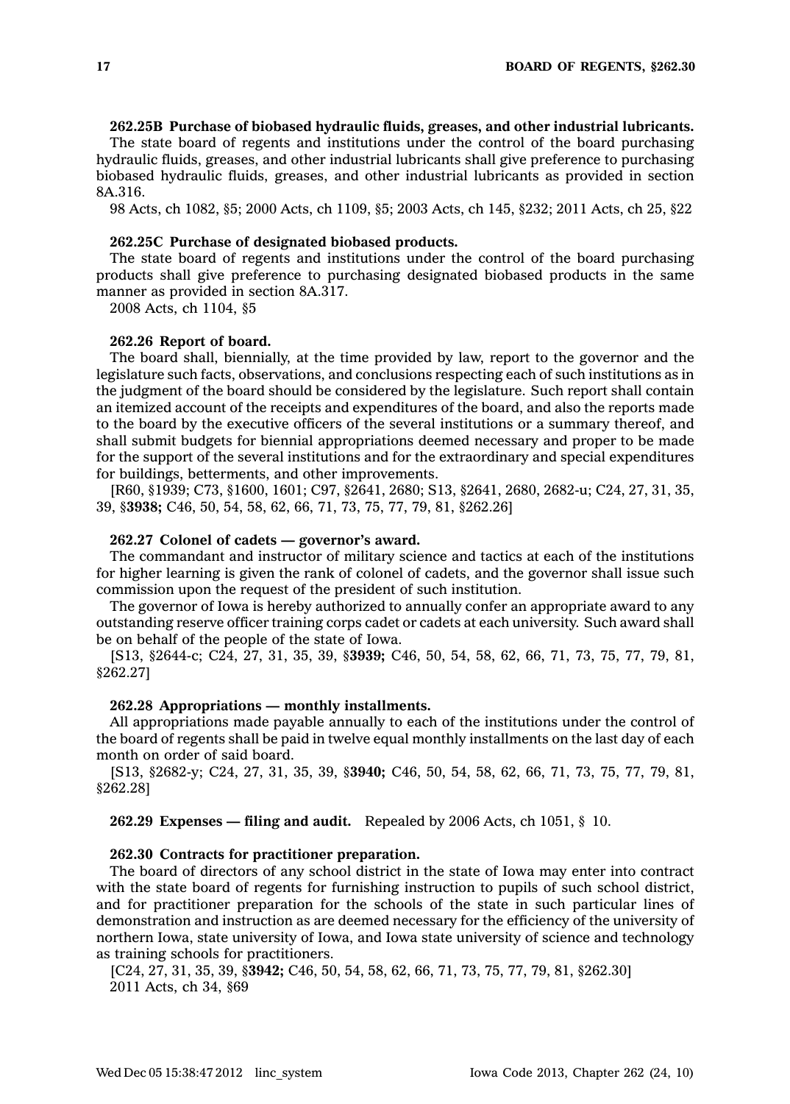## **262.25B Purchase of biobased hydraulic fluids, greases, and other industrial lubricants.**

The state board of regents and institutions under the control of the board purchasing hydraulic fluids, greases, and other industrial lubricants shall give preference to purchasing biobased hydraulic fluids, greases, and other industrial lubricants as provided in section 8A.316.

98 Acts, ch 1082, §5; 2000 Acts, ch 1109, §5; 2003 Acts, ch 145, §232; 2011 Acts, ch 25, §22

### **262.25C Purchase of designated biobased products.**

The state board of regents and institutions under the control of the board purchasing products shall give preference to purchasing designated biobased products in the same manner as provided in section 8A.317.

2008 Acts, ch 1104, §5

## **262.26 Report of board.**

The board shall, biennially, at the time provided by law, report to the governor and the legislature such facts, observations, and conclusions respecting each of such institutions as in the judgment of the board should be considered by the legislature. Such report shall contain an itemized account of the receipts and expenditures of the board, and also the reports made to the board by the executive officers of the several institutions or <sup>a</sup> summary thereof, and shall submit budgets for biennial appropriations deemed necessary and proper to be made for the support of the several institutions and for the extraordinary and special expenditures for buildings, betterments, and other improvements.

[R60, §1939; C73, §1600, 1601; C97, §2641, 2680; S13, §2641, 2680, 2682-u; C24, 27, 31, 35, 39, §**3938;** C46, 50, 54, 58, 62, 66, 71, 73, 75, 77, 79, 81, §262.26]

### **262.27 Colonel of cadets — governor's award.**

The commandant and instructor of military science and tactics at each of the institutions for higher learning is given the rank of colonel of cadets, and the governor shall issue such commission upon the request of the president of such institution.

The governor of Iowa is hereby authorized to annually confer an appropriate award to any outstanding reserve officer training corps cadet or cadets at each university. Such award shall be on behalf of the people of the state of Iowa.

[S13, §2644-c; C24, 27, 31, 35, 39, §**3939;** C46, 50, 54, 58, 62, 66, 71, 73, 75, 77, 79, 81, §262.27]

#### **262.28 Appropriations — monthly installments.**

All appropriations made payable annually to each of the institutions under the control of the board of regents shall be paid in twelve equal monthly installments on the last day of each month on order of said board.

[S13, §2682-y; C24, 27, 31, 35, 39, §**3940;** C46, 50, 54, 58, 62, 66, 71, 73, 75, 77, 79, 81, §262.28]

**262.29 Expenses — filing and audit.** Repealed by 2006 Acts, ch 1051, § 10.

## **262.30 Contracts for practitioner preparation.**

The board of directors of any school district in the state of Iowa may enter into contract with the state board of regents for furnishing instruction to pupils of such school district, and for practitioner preparation for the schools of the state in such particular lines of demonstration and instruction as are deemed necessary for the efficiency of the university of northern Iowa, state university of Iowa, and Iowa state university of science and technology as training schools for practitioners.

[C24, 27, 31, 35, 39, §**3942;** C46, 50, 54, 58, 62, 66, 71, 73, 75, 77, 79, 81, §262.30] 2011 Acts, ch 34, §69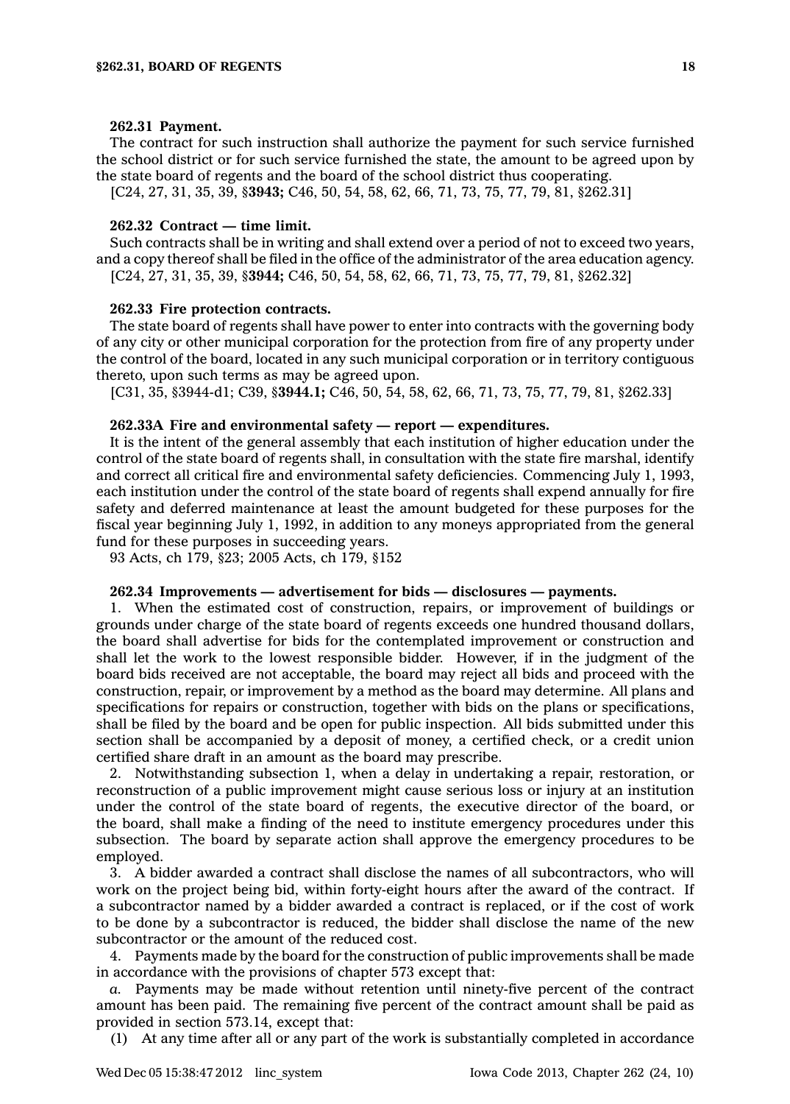#### **262.31 Payment.**

The contract for such instruction shall authorize the payment for such service furnished the school district or for such service furnished the state, the amount to be agreed upon by the state board of regents and the board of the school district thus cooperating.

[C24, 27, 31, 35, 39, §**3943;** C46, 50, 54, 58, 62, 66, 71, 73, 75, 77, 79, 81, §262.31]

### **262.32 Contract — time limit.**

Such contracts shall be in writing and shall extend over <sup>a</sup> period of not to exceed two years, and <sup>a</sup> copy thereof shall be filed in the office of the administrator of the area education agency. [C24, 27, 31, 35, 39, §**3944;** C46, 50, 54, 58, 62, 66, 71, 73, 75, 77, 79, 81, §262.32]

#### **262.33 Fire protection contracts.**

The state board of regents shall have power to enter into contracts with the governing body of any city or other municipal corporation for the protection from fire of any property under the control of the board, located in any such municipal corporation or in territory contiguous thereto, upon such terms as may be agreed upon.

[C31, 35, §3944-d1; C39, §**3944.1;** C46, 50, 54, 58, 62, 66, 71, 73, 75, 77, 79, 81, §262.33]

### **262.33A Fire and environmental safety — report —expenditures.**

It is the intent of the general assembly that each institution of higher education under the control of the state board of regents shall, in consultation with the state fire marshal, identify and correct all critical fire and environmental safety deficiencies. Commencing July 1, 1993, each institution under the control of the state board of regents shall expend annually for fire safety and deferred maintenance at least the amount budgeted for these purposes for the fiscal year beginning July 1, 1992, in addition to any moneys appropriated from the general fund for these purposes in succeeding years.

93 Acts, ch 179, §23; 2005 Acts, ch 179, §152

#### **262.34 Improvements — advertisement for bids — disclosures — payments.**

1. When the estimated cost of construction, repairs, or improvement of buildings or grounds under charge of the state board of regents exceeds one hundred thousand dollars, the board shall advertise for bids for the contemplated improvement or construction and shall let the work to the lowest responsible bidder. However, if in the judgment of the board bids received are not acceptable, the board may reject all bids and proceed with the construction, repair, or improvement by <sup>a</sup> method as the board may determine. All plans and specifications for repairs or construction, together with bids on the plans or specifications, shall be filed by the board and be open for public inspection. All bids submitted under this section shall be accompanied by <sup>a</sup> deposit of money, <sup>a</sup> certified check, or <sup>a</sup> credit union certified share draft in an amount as the board may prescribe.

2. Notwithstanding subsection 1, when <sup>a</sup> delay in undertaking <sup>a</sup> repair, restoration, or reconstruction of <sup>a</sup> public improvement might cause serious loss or injury at an institution under the control of the state board of regents, the executive director of the board, or the board, shall make <sup>a</sup> finding of the need to institute emergency procedures under this subsection. The board by separate action shall approve the emergency procedures to be employed.

3. A bidder awarded <sup>a</sup> contract shall disclose the names of all subcontractors, who will work on the project being bid, within forty-eight hours after the award of the contract. If <sup>a</sup> subcontractor named by <sup>a</sup> bidder awarded <sup>a</sup> contract is replaced, or if the cost of work to be done by <sup>a</sup> subcontractor is reduced, the bidder shall disclose the name of the new subcontractor or the amount of the reduced cost.

4. Payments made by the board for the construction of public improvements shall be made in accordance with the provisions of chapter 573 except that:

*a.* Payments may be made without retention until ninety-five percent of the contract amount has been paid. The remaining five percent of the contract amount shall be paid as provided in section 573.14, except that:

(1) At any time after all or any part of the work is substantially completed in accordance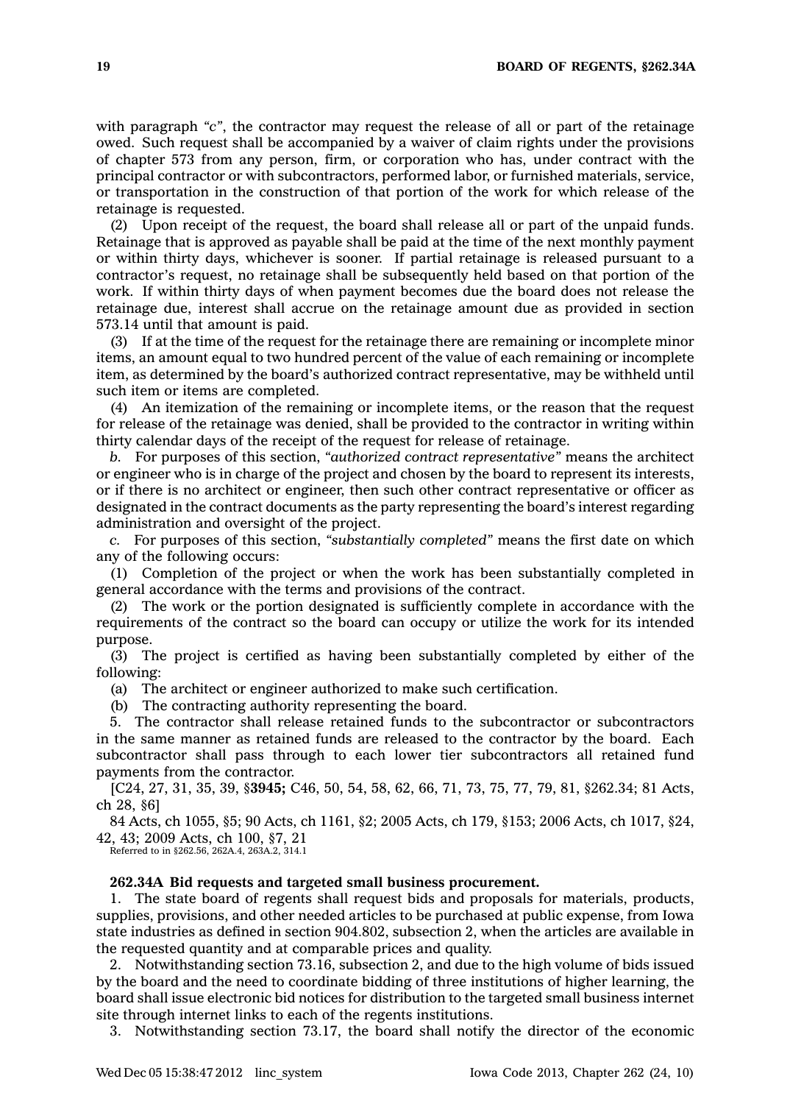with paragraph "c", the contractor may request the release of all or part of the retainage owed. Such request shall be accompanied by <sup>a</sup> waiver of claim rights under the provisions of chapter 573 from any person, firm, or corporation who has, under contract with the principal contractor or with subcontractors, performed labor, or furnished materials, service, or transportation in the construction of that portion of the work for which release of the retainage is requested.

(2) Upon receipt of the request, the board shall release all or part of the unpaid funds. Retainage that is approved as payable shall be paid at the time of the next monthly payment or within thirty days, whichever is sooner. If partial retainage is released pursuant to <sup>a</sup> contractor's request, no retainage shall be subsequently held based on that portion of the work. If within thirty days of when payment becomes due the board does not release the retainage due, interest shall accrue on the retainage amount due as provided in section 573.14 until that amount is paid.

(3) If at the time of the request for the retainage there are remaining or incomplete minor items, an amount equal to two hundred percent of the value of each remaining or incomplete item, as determined by the board's authorized contract representative, may be withheld until such item or items are completed.

(4) An itemization of the remaining or incomplete items, or the reason that the request for release of the retainage was denied, shall be provided to the contractor in writing within thirty calendar days of the receipt of the request for release of retainage.

*b.* For purposes of this section, *"authorized contract representative"* means the architect or engineer who is in charge of the project and chosen by the board to represent its interests, or if there is no architect or engineer, then such other contract representative or officer as designated in the contract documents as the party representing the board's interest regarding administration and oversight of the project.

*c.* For purposes of this section, *"substantially completed"* means the first date on which any of the following occurs:

(1) Completion of the project or when the work has been substantially completed in general accordance with the terms and provisions of the contract.

(2) The work or the portion designated is sufficiently complete in accordance with the requirements of the contract so the board can occupy or utilize the work for its intended purpose.

(3) The project is certified as having been substantially completed by either of the following:

(a) The architect or engineer authorized to make such certification.

(b) The contracting authority representing the board.

5. The contractor shall release retained funds to the subcontractor or subcontractors in the same manner as retained funds are released to the contractor by the board. Each subcontractor shall pass through to each lower tier subcontractors all retained fund payments from the contractor.

[C24, 27, 31, 35, 39, §**3945;** C46, 50, 54, 58, 62, 66, 71, 73, 75, 77, 79, 81, §262.34; 81 Acts, ch 28, §6]

84 Acts, ch 1055, §5; 90 Acts, ch 1161, §2; 2005 Acts, ch 179, §153; 2006 Acts, ch 1017, §24, 42, 43; 2009 Acts, ch 100, §7, 21

Referred to in §262.56, 262A.4, 263A.2, 314.1

#### **262.34A Bid requests and targeted small business procurement.**

1. The state board of regents shall request bids and proposals for materials, products, supplies, provisions, and other needed articles to be purchased at public expense, from Iowa state industries as defined in section 904.802, subsection 2, when the articles are available in the requested quantity and at comparable prices and quality.

2. Notwithstanding section 73.16, subsection 2, and due to the high volume of bids issued by the board and the need to coordinate bidding of three institutions of higher learning, the board shall issue electronic bid notices for distribution to the targeted small business internet site through internet links to each of the regents institutions.

3. Notwithstanding section 73.17, the board shall notify the director of the economic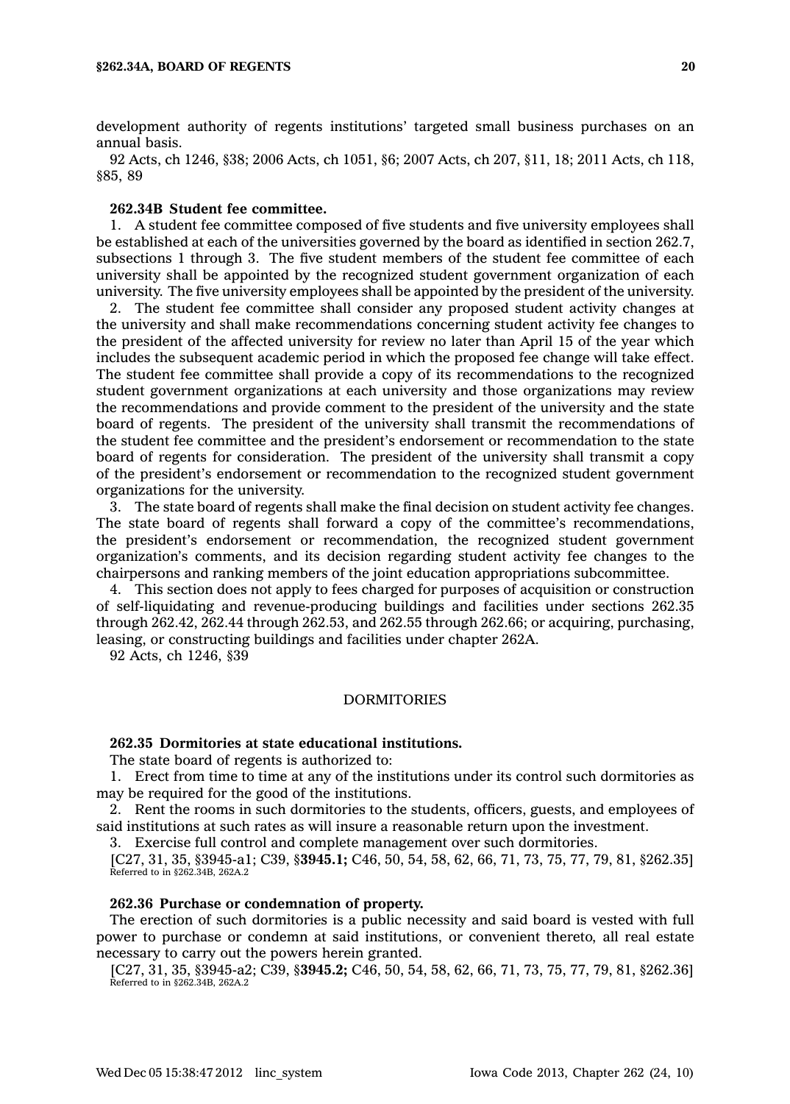development authority of regents institutions' targeted small business purchases on an annual basis.

92 Acts, ch 1246, §38; 2006 Acts, ch 1051, §6; 2007 Acts, ch 207, §11, 18; 2011 Acts, ch 118, §85, 89

#### **262.34B Student fee committee.**

1. A student fee committee composed of five students and five university employees shall be established at each of the universities governed by the board as identified in section 262.7, subsections 1 through 3. The five student members of the student fee committee of each university shall be appointed by the recognized student government organization of each university. The five university employees shall be appointed by the president of the university.

2. The student fee committee shall consider any proposed student activity changes at the university and shall make recommendations concerning student activity fee changes to the president of the affected university for review no later than April 15 of the year which includes the subsequent academic period in which the proposed fee change will take effect. The student fee committee shall provide <sup>a</sup> copy of its recommendations to the recognized student government organizations at each university and those organizations may review the recommendations and provide comment to the president of the university and the state board of regents. The president of the university shall transmit the recommendations of the student fee committee and the president's endorsement or recommendation to the state board of regents for consideration. The president of the university shall transmit <sup>a</sup> copy of the president's endorsement or recommendation to the recognized student government organizations for the university.

3. The state board of regents shall make the final decision on student activity fee changes. The state board of regents shall forward <sup>a</sup> copy of the committee's recommendations, the president's endorsement or recommendation, the recognized student government organization's comments, and its decision regarding student activity fee changes to the chairpersons and ranking members of the joint education appropriations subcommittee.

4. This section does not apply to fees charged for purposes of acquisition or construction of self-liquidating and revenue-producing buildings and facilities under sections 262.35 through 262.42, 262.44 through 262.53, and 262.55 through 262.66; or acquiring, purchasing, leasing, or constructing buildings and facilities under chapter 262A.

92 Acts, ch 1246, §39

## DORMITORIES

## **262.35 Dormitories at state educational institutions.**

The state board of regents is authorized to:

1. Erect from time to time at any of the institutions under its control such dormitories as may be required for the good of the institutions.

2. Rent the rooms in such dormitories to the students, officers, guests, and employees of said institutions at such rates as will insure <sup>a</sup> reasonable return upon the investment.

3. Exercise full control and complete management over such dormitories.

[C27, 31, 35, §3945-a1; C39, §**3945.1;** C46, 50, 54, 58, 62, 66, 71, 73, 75, 77, 79, 81, §262.35] Referred to in §262.34B, 262A.2

### **262.36 Purchase or condemnation of property.**

The erection of such dormitories is <sup>a</sup> public necessity and said board is vested with full power to purchase or condemn at said institutions, or convenient thereto, all real estate necessary to carry out the powers herein granted.

[C27, 31, 35, §3945-a2; C39, §**3945.2;** C46, 50, 54, 58, 62, 66, 71, 73, 75, 77, 79, 81, §262.36] Referred to in §262.34B, 262A.2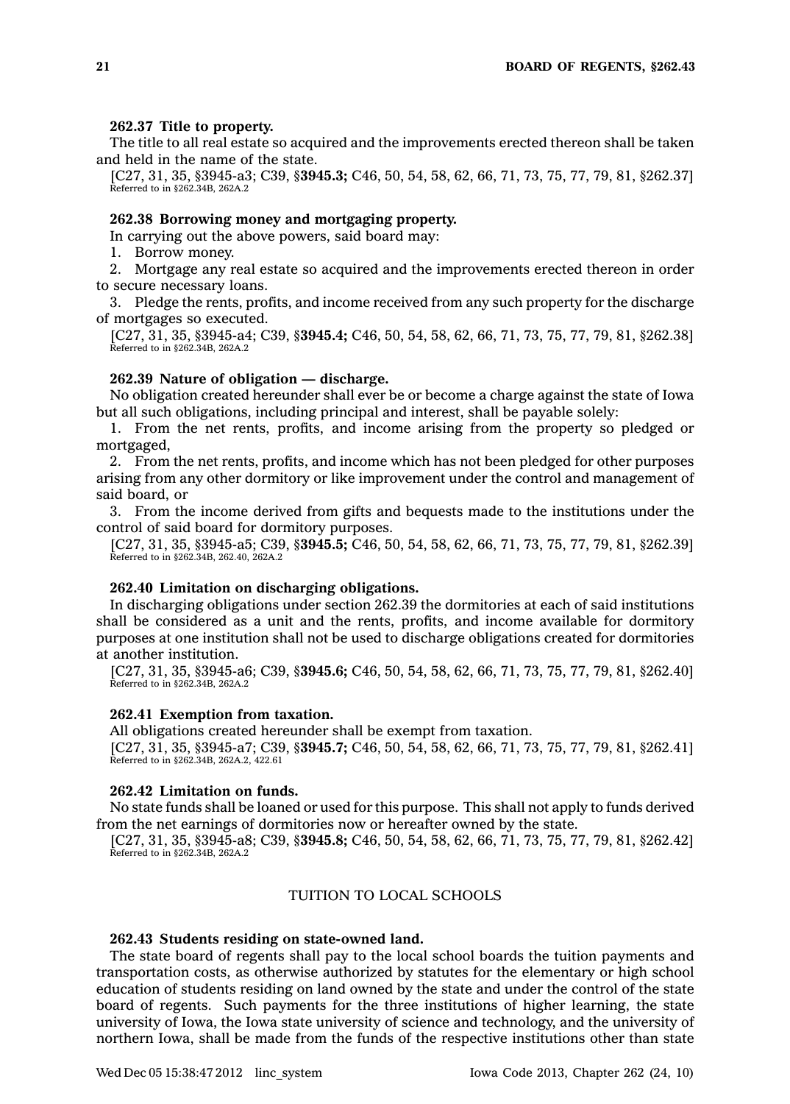#### **262.37 Title to property.**

The title to all real estate so acquired and the improvements erected thereon shall be taken and held in the name of the state.

[C27, 31, 35, §3945-a3; C39, §**3945.3;** C46, 50, 54, 58, 62, 66, 71, 73, 75, 77, 79, 81, §262.37] Referred to in §262.34B, 262A.2

## **262.38 Borrowing money and mortgaging property.**

In carrying out the above powers, said board may:

1. Borrow money.

2. Mortgage any real estate so acquired and the improvements erected thereon in order to secure necessary loans.

3. Pledge the rents, profits, and income received from any such property for the discharge of mortgages so executed.

[C27, 31, 35, §3945-a4; C39, §**3945.4;** C46, 50, 54, 58, 62, 66, 71, 73, 75, 77, 79, 81, §262.38] Referred to in §262.34B, 262A.2

#### **262.39 Nature of obligation — discharge.**

No obligation created hereunder shall ever be or become <sup>a</sup> charge against the state of Iowa but all such obligations, including principal and interest, shall be payable solely:

1. From the net rents, profits, and income arising from the property so pledged or mortgaged,

2. From the net rents, profits, and income which has not been pledged for other purposes arising from any other dormitory or like improvement under the control and management of said board, or

3. From the income derived from gifts and bequests made to the institutions under the control of said board for dormitory purposes.

[C27, 31, 35, §3945-a5; C39, §**3945.5;** C46, 50, 54, 58, 62, 66, 71, 73, 75, 77, 79, 81, §262.39] Referred to in §262.34B, 262.40, 262A.2

### **262.40 Limitation on discharging obligations.**

In discharging obligations under section 262.39 the dormitories at each of said institutions shall be considered as <sup>a</sup> unit and the rents, profits, and income available for dormitory purposes at one institution shall not be used to discharge obligations created for dormitories at another institution.

[C27, 31, 35, §3945-a6; C39, §**3945.6;** C46, 50, 54, 58, 62, 66, 71, 73, 75, 77, 79, 81, §262.40] Referred to in §262.34B, 262A.2

### **262.41 Exemption from taxation.**

All obligations created hereunder shall be exempt from taxation.

[C27, 31, 35, §3945-a7; C39, §**3945.7;** C46, 50, 54, 58, 62, 66, 71, 73, 75, 77, 79, 81, §262.41] Referred to in §262.34B, 262A.2, 422.61

### **262.42 Limitation on funds.**

No state funds shall be loaned or used for this purpose. This shall not apply to funds derived from the net earnings of dormitories now or hereafter owned by the state.

[C27, 31, 35, §3945-a8; C39, §**3945.8;** C46, 50, 54, 58, 62, 66, 71, 73, 75, 77, 79, 81, §262.42] Referred to in §262.34B, 262A.2

## TUITION TO LOCAL SCHOOLS

## **262.43 Students residing on state-owned land.**

The state board of regents shall pay to the local school boards the tuition payments and transportation costs, as otherwise authorized by statutes for the elementary or high school education of students residing on land owned by the state and under the control of the state board of regents. Such payments for the three institutions of higher learning, the state university of Iowa, the Iowa state university of science and technology, and the university of northern Iowa, shall be made from the funds of the respective institutions other than state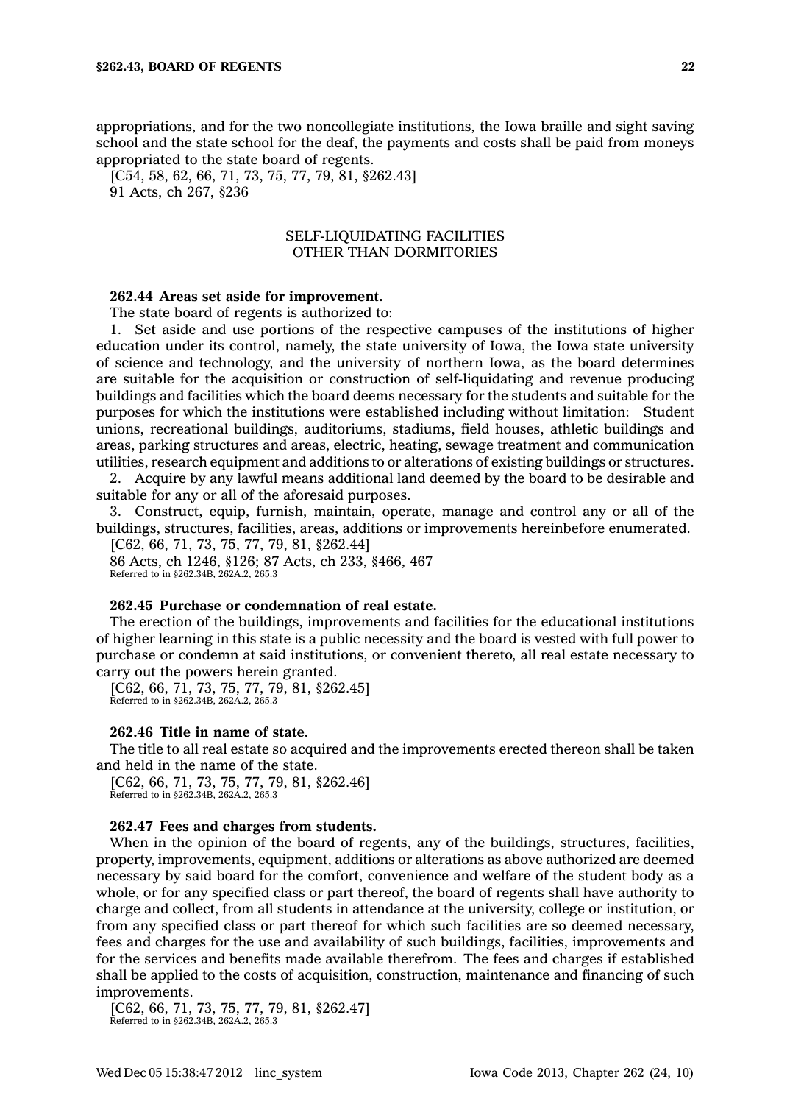appropriations, and for the two noncollegiate institutions, the Iowa braille and sight saving school and the state school for the deaf, the payments and costs shall be paid from moneys appropriated to the state board of regents.

[C54, 58, 62, 66, 71, 73, 75, 77, 79, 81, §262.43] 91 Acts, ch 267, §236

## SELF-LIQUIDATING FACILITIES OTHER THAN DORMITORIES

#### **262.44 Areas set aside for improvement.**

The state board of regents is authorized to:

1. Set aside and use portions of the respective campuses of the institutions of higher education under its control, namely, the state university of Iowa, the Iowa state university of science and technology, and the university of northern Iowa, as the board determines are suitable for the acquisition or construction of self-liquidating and revenue producing buildings and facilities which the board deems necessary for the students and suitable for the purposes for which the institutions were established including without limitation: Student unions, recreational buildings, auditoriums, stadiums, field houses, athletic buildings and areas, parking structures and areas, electric, heating, sewage treatment and communication utilities, research equipment and additions to or alterations of existing buildings or structures.

2. Acquire by any lawful means additional land deemed by the board to be desirable and suitable for any or all of the aforesaid purposes.

3. Construct, equip, furnish, maintain, operate, manage and control any or all of the buildings, structures, facilities, areas, additions or improvements hereinbefore enumerated.

[C62, 66, 71, 73, 75, 77, 79, 81, §262.44] 86 Acts, ch 1246, §126; 87 Acts, ch 233, §466, 467 Referred to in §262.34B, 262A.2, 265.3

## **262.45 Purchase or condemnation of real estate.**

The erection of the buildings, improvements and facilities for the educational institutions of higher learning in this state is <sup>a</sup> public necessity and the board is vested with full power to purchase or condemn at said institutions, or convenient thereto, all real estate necessary to carry out the powers herein granted.

[C62, 66, 71, 73, 75, 77, 79, 81, §262.45] Referred to in §262.34B, 262A.2, 265.3

#### **262.46 Title in name of state.**

The title to all real estate so acquired and the improvements erected thereon shall be taken and held in the name of the state.

[C62, 66, 71, 73, 75, 77, 79, 81, §262.46] Referred to in §262.34B, 262A.2, 265.3

## **262.47 Fees and charges from students.**

When in the opinion of the board of regents, any of the buildings, structures, facilities, property, improvements, equipment, additions or alterations as above authorized are deemed necessary by said board for the comfort, convenience and welfare of the student body as <sup>a</sup> whole, or for any specified class or part thereof, the board of regents shall have authority to charge and collect, from all students in attendance at the university, college or institution, or from any specified class or part thereof for which such facilities are so deemed necessary, fees and charges for the use and availability of such buildings, facilities, improvements and for the services and benefits made available therefrom. The fees and charges if established shall be applied to the costs of acquisition, construction, maintenance and financing of such improvements.

[C62, 66, 71, 73, 75, 77, 79, 81, §262.47] Referred to in §262.34B, 262A.2, 265.3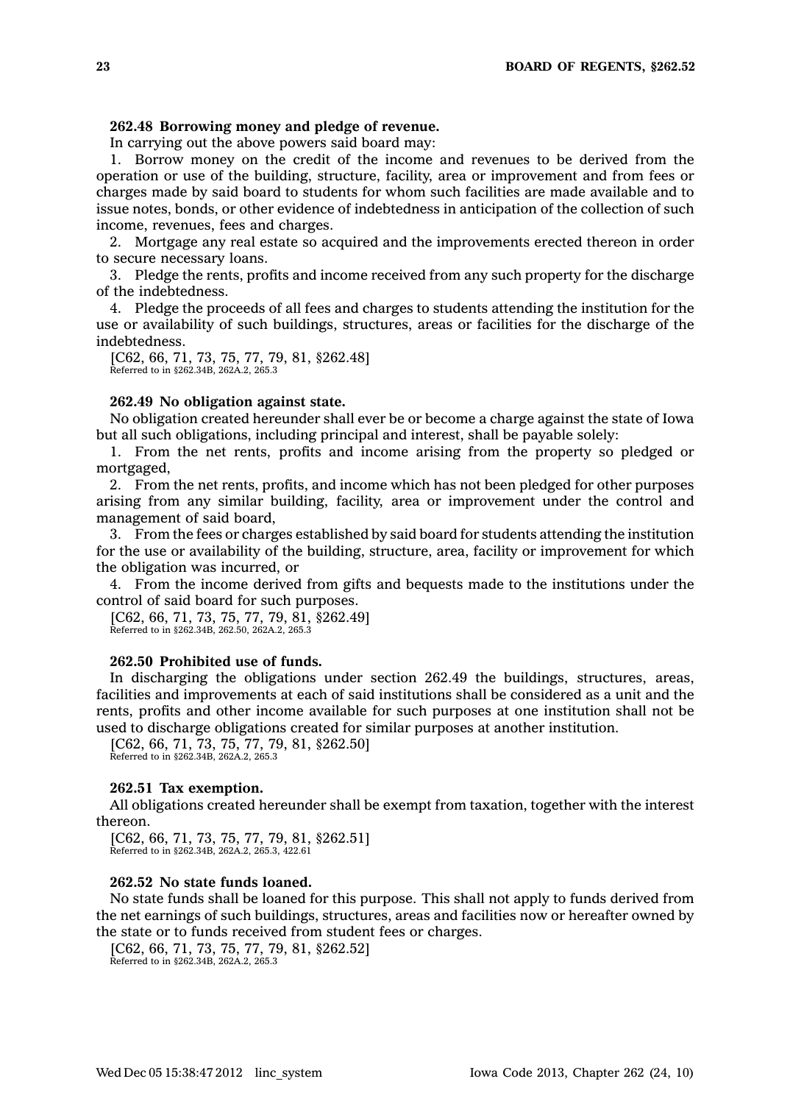## **262.48 Borrowing money and pledge of revenue.**

In carrying out the above powers said board may:

1. Borrow money on the credit of the income and revenues to be derived from the operation or use of the building, structure, facility, area or improvement and from fees or charges made by said board to students for whom such facilities are made available and to issue notes, bonds, or other evidence of indebtedness in anticipation of the collection of such income, revenues, fees and charges.

2. Mortgage any real estate so acquired and the improvements erected thereon in order to secure necessary loans.

3. Pledge the rents, profits and income received from any such property for the discharge of the indebtedness.

4. Pledge the proceeds of all fees and charges to students attending the institution for the use or availability of such buildings, structures, areas or facilities for the discharge of the indebtedness.

[C62, 66, 71, 73, 75, 77, 79, 81, §262.48] Referred to in §262.34B, 262A.2, 265.3

## **262.49 No obligation against state.**

No obligation created hereunder shall ever be or become <sup>a</sup> charge against the state of Iowa but all such obligations, including principal and interest, shall be payable solely:

1. From the net rents, profits and income arising from the property so pledged or mortgaged,

2. From the net rents, profits, and income which has not been pledged for other purposes arising from any similar building, facility, area or improvement under the control and management of said board,

3. From the fees or charges established by said board for students attending the institution for the use or availability of the building, structure, area, facility or improvement for which the obligation was incurred, or

4. From the income derived from gifts and bequests made to the institutions under the control of said board for such purposes.

```
[C62, 66, 71, 73, 75, 77, 79, 81, §262.49]
Referred to in §262.34B, 262.50, 262A.2, 265.3
```
## **262.50 Prohibited use of funds.**

In discharging the obligations under section 262.49 the buildings, structures, areas, facilities and improvements at each of said institutions shall be considered as <sup>a</sup> unit and the rents, profits and other income available for such purposes at one institution shall not be used to discharge obligations created for similar purposes at another institution.

[C62, 66, 71, 73, 75, 77, 79, 81, §262.50] Referred to in §262.34B, 262A.2, 265.3

#### **262.51 Tax exemption.**

All obligations created hereunder shall be exempt from taxation, together with the interest thereon.

[C62, 66, 71, 73, 75, 77, 79, 81, §262.51] Referred to in §262.34B, 262A.2, 265.3, 422.61

## **262.52 No state funds loaned.**

No state funds shall be loaned for this purpose. This shall not apply to funds derived from the net earnings of such buildings, structures, areas and facilities now or hereafter owned by the state or to funds received from student fees or charges.

[C62, 66, 71, 73, 75, 77, 79, 81, §262.52] Referred to in §262.34B, 262A.2, 265.3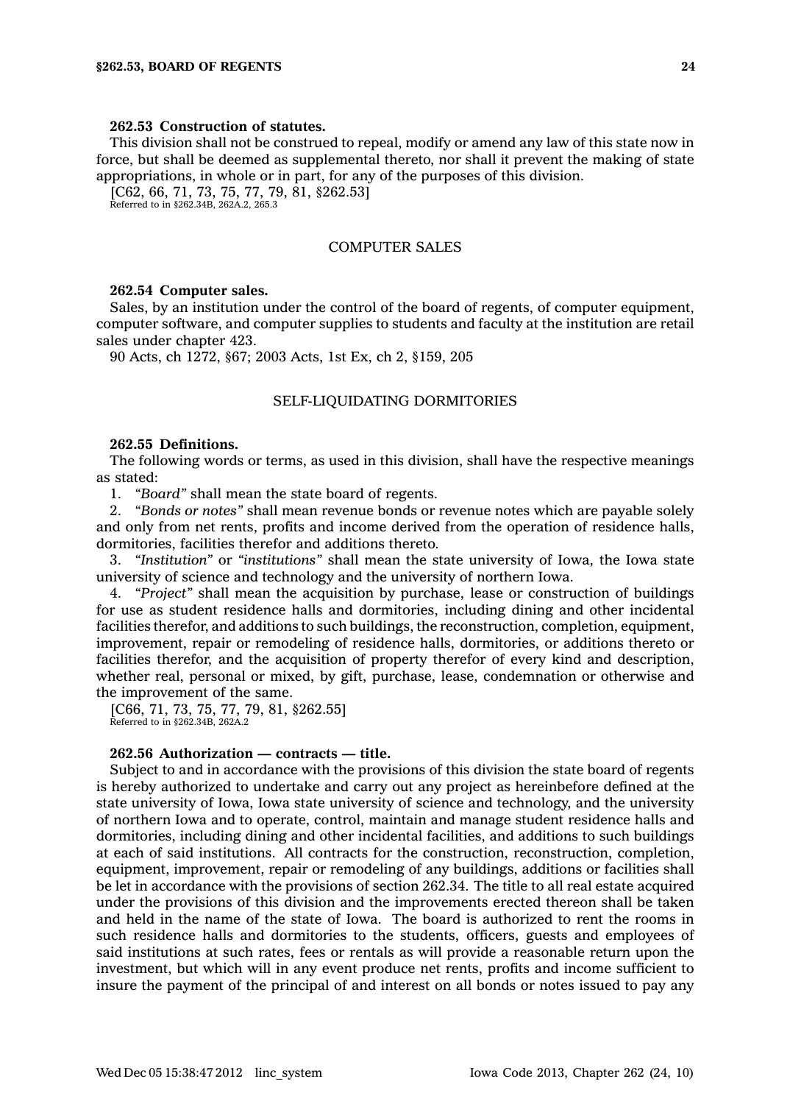## **262.53 Construction of statutes.**

This division shall not be construed to repeal, modify or amend any law of this state now in force, but shall be deemed as supplemental thereto, nor shall it prevent the making of state appropriations, in whole or in part, for any of the purposes of this division.

 $[C62, 66, 71, 73, 75, 77, 79, 81, $262.53]$ 

Referred to in §262.34B, 262A.2, 265.3

## COMPUTER SALES

#### **262.54 Computer sales.**

Sales, by an institution under the control of the board of regents, of computer equipment, computer software, and computer supplies to students and faculty at the institution are retail sales under chapter 423.

90 Acts, ch 1272, §67; 2003 Acts, 1st Ex, ch 2, §159, 205

### SELF-LIQUIDATING DORMITORIES

#### **262.55 Definitions.**

The following words or terms, as used in this division, shall have the respective meanings as stated:

1. *"Board"* shall mean the state board of regents.

2. *"Bonds or notes"* shall mean revenue bonds or revenue notes which are payable solely and only from net rents, profits and income derived from the operation of residence halls, dormitories, facilities therefor and additions thereto.

3. *"Institution"* or *"institutions"* shall mean the state university of Iowa, the Iowa state university of science and technology and the university of northern Iowa.

4. *"Project"* shall mean the acquisition by purchase, lease or construction of buildings for use as student residence halls and dormitories, including dining and other incidental facilities therefor, and additions to such buildings, the reconstruction, completion, equipment, improvement, repair or remodeling of residence halls, dormitories, or additions thereto or facilities therefor, and the acquisition of property therefor of every kind and description, whether real, personal or mixed, by gift, purchase, lease, condemnation or otherwise and the improvement of the same.

[C66, 71, 73, 75, 77, 79, 81, §262.55] Referred to in §262.34B, 262A.2

#### **262.56 Authorization — contracts — title.**

Subject to and in accordance with the provisions of this division the state board of regents is hereby authorized to undertake and carry out any project as hereinbefore defined at the state university of Iowa, Iowa state university of science and technology, and the university of northern Iowa and to operate, control, maintain and manage student residence halls and dormitories, including dining and other incidental facilities, and additions to such buildings at each of said institutions. All contracts for the construction, reconstruction, completion, equipment, improvement, repair or remodeling of any buildings, additions or facilities shall be let in accordance with the provisions of section 262.34. The title to all real estate acquired under the provisions of this division and the improvements erected thereon shall be taken and held in the name of the state of Iowa. The board is authorized to rent the rooms in such residence halls and dormitories to the students, officers, guests and employees of said institutions at such rates, fees or rentals as will provide <sup>a</sup> reasonable return upon the investment, but which will in any event produce net rents, profits and income sufficient to insure the payment of the principal of and interest on all bonds or notes issued to pay any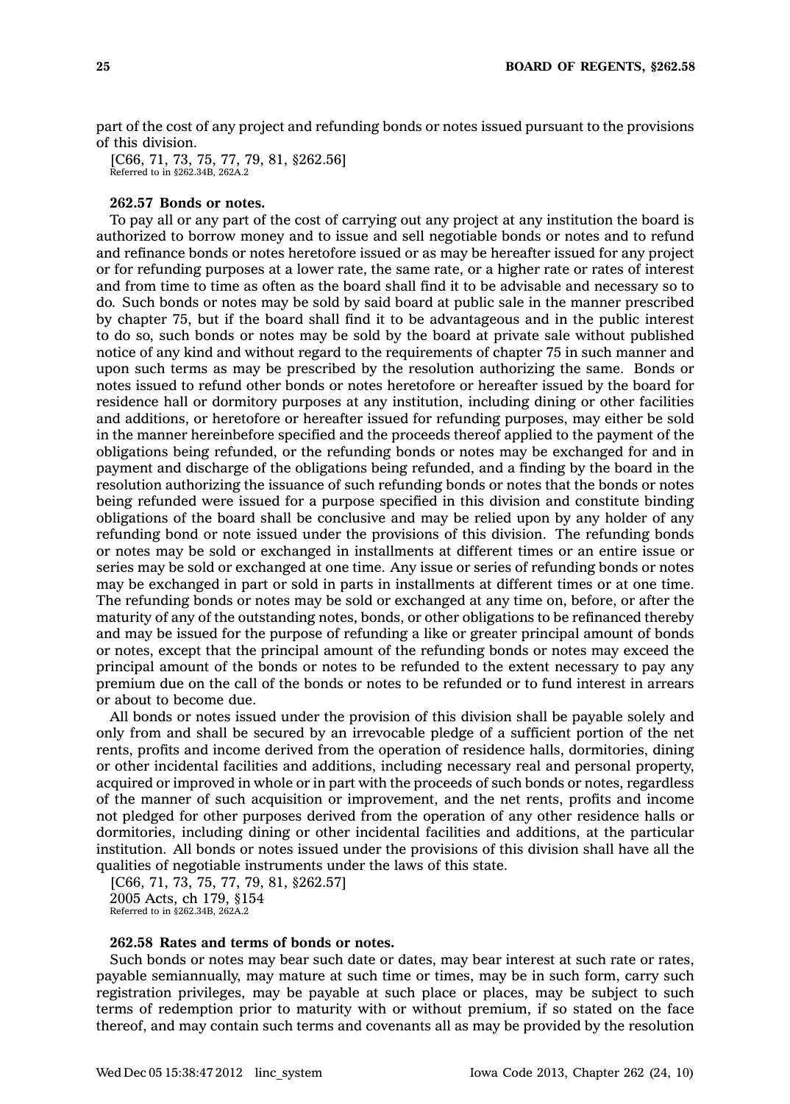part of the cost of any project and refunding bonds or notes issued pursuant to the provisions of this division.

[C66, 71, 73, 75, 77, 79, 81, §262.56] Referred to in §262.34B, 262A.2

#### **262.57 Bonds or notes.**

To pay all or any part of the cost of carrying out any project at any institution the board is authorized to borrow money and to issue and sell negotiable bonds or notes and to refund and refinance bonds or notes heretofore issued or as may be hereafter issued for any project or for refunding purposes at <sup>a</sup> lower rate, the same rate, or <sup>a</sup> higher rate or rates of interest and from time to time as often as the board shall find it to be advisable and necessary so to do. Such bonds or notes may be sold by said board at public sale in the manner prescribed by chapter 75, but if the board shall find it to be advantageous and in the public interest to do so, such bonds or notes may be sold by the board at private sale without published notice of any kind and without regard to the requirements of chapter 75 in such manner and upon such terms as may be prescribed by the resolution authorizing the same. Bonds or notes issued to refund other bonds or notes heretofore or hereafter issued by the board for residence hall or dormitory purposes at any institution, including dining or other facilities and additions, or heretofore or hereafter issued for refunding purposes, may either be sold in the manner hereinbefore specified and the proceeds thereof applied to the payment of the obligations being refunded, or the refunding bonds or notes may be exchanged for and in payment and discharge of the obligations being refunded, and <sup>a</sup> finding by the board in the resolution authorizing the issuance of such refunding bonds or notes that the bonds or notes being refunded were issued for <sup>a</sup> purpose specified in this division and constitute binding obligations of the board shall be conclusive and may be relied upon by any holder of any refunding bond or note issued under the provisions of this division. The refunding bonds or notes may be sold or exchanged in installments at different times or an entire issue or series may be sold or exchanged at one time. Any issue or series of refunding bonds or notes may be exchanged in part or sold in parts in installments at different times or at one time. The refunding bonds or notes may be sold or exchanged at any time on, before, or after the maturity of any of the outstanding notes, bonds, or other obligations to be refinanced thereby and may be issued for the purpose of refunding <sup>a</sup> like or greater principal amount of bonds or notes, except that the principal amount of the refunding bonds or notes may exceed the principal amount of the bonds or notes to be refunded to the extent necessary to pay any premium due on the call of the bonds or notes to be refunded or to fund interest in arrears or about to become due.

All bonds or notes issued under the provision of this division shall be payable solely and only from and shall be secured by an irrevocable pledge of <sup>a</sup> sufficient portion of the net rents, profits and income derived from the operation of residence halls, dormitories, dining or other incidental facilities and additions, including necessary real and personal property, acquired or improved in whole or in part with the proceeds of such bonds or notes, regardless of the manner of such acquisition or improvement, and the net rents, profits and income not pledged for other purposes derived from the operation of any other residence halls or dormitories, including dining or other incidental facilities and additions, at the particular institution. All bonds or notes issued under the provisions of this division shall have all the qualities of negotiable instruments under the laws of this state.

[C66, 71, 73, 75, 77, 79, 81, §262.57] 2005 Acts, ch 179, §154 Referred to in §262.34B, 262A.2

## **262.58 Rates and terms of bonds or notes.**

Such bonds or notes may bear such date or dates, may bear interest at such rate or rates, payable semiannually, may mature at such time or times, may be in such form, carry such registration privileges, may be payable at such place or places, may be subject to such terms of redemption prior to maturity with or without premium, if so stated on the face thereof, and may contain such terms and covenants all as may be provided by the resolution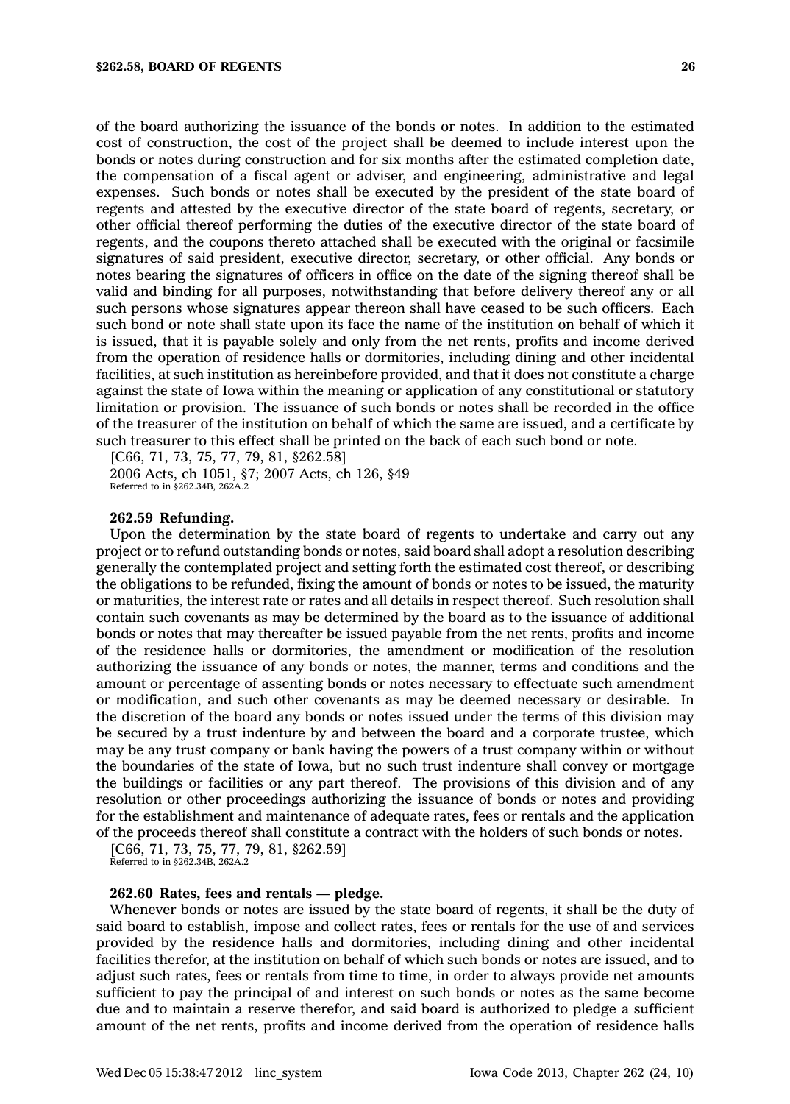of the board authorizing the issuance of the bonds or notes. In addition to the estimated cost of construction, the cost of the project shall be deemed to include interest upon the

bonds or notes during construction and for six months after the estimated completion date, the compensation of <sup>a</sup> fiscal agent or adviser, and engineering, administrative and legal expenses. Such bonds or notes shall be executed by the president of the state board of regents and attested by the executive director of the state board of regents, secretary, or other official thereof performing the duties of the executive director of the state board of regents, and the coupons thereto attached shall be executed with the original or facsimile signatures of said president, executive director, secretary, or other official. Any bonds or notes bearing the signatures of officers in office on the date of the signing thereof shall be valid and binding for all purposes, notwithstanding that before delivery thereof any or all such persons whose signatures appear thereon shall have ceased to be such officers. Each such bond or note shall state upon its face the name of the institution on behalf of which it is issued, that it is payable solely and only from the net rents, profits and income derived from the operation of residence halls or dormitories, including dining and other incidental facilities, at such institution as hereinbefore provided, and that it does not constitute <sup>a</sup> charge against the state of Iowa within the meaning or application of any constitutional or statutory limitation or provision. The issuance of such bonds or notes shall be recorded in the office of the treasurer of the institution on behalf of which the same are issued, and <sup>a</sup> certificate by such treasurer to this effect shall be printed on the back of each such bond or note.

[C66, 71, 73, 75, 77, 79, 81, §262.58] 2006 Acts, ch 1051, §7; 2007 Acts, ch 126, §49 Referred to in §262.34B, 262A.2

### **262.59 Refunding.**

Upon the determination by the state board of regents to undertake and carry out any project or to refund outstanding bonds or notes, said board shall adopt <sup>a</sup> resolution describing generally the contemplated project and setting forth the estimated cost thereof, or describing the obligations to be refunded, fixing the amount of bonds or notes to be issued, the maturity or maturities, the interest rate or rates and all details in respect thereof. Such resolution shall contain such covenants as may be determined by the board as to the issuance of additional bonds or notes that may thereafter be issued payable from the net rents, profits and income of the residence halls or dormitories, the amendment or modification of the resolution authorizing the issuance of any bonds or notes, the manner, terms and conditions and the amount or percentage of assenting bonds or notes necessary to effectuate such amendment or modification, and such other covenants as may be deemed necessary or desirable. In the discretion of the board any bonds or notes issued under the terms of this division may be secured by <sup>a</sup> trust indenture by and between the board and <sup>a</sup> corporate trustee, which may be any trust company or bank having the powers of <sup>a</sup> trust company within or without the boundaries of the state of Iowa, but no such trust indenture shall convey or mortgage the buildings or facilities or any part thereof. The provisions of this division and of any resolution or other proceedings authorizing the issuance of bonds or notes and providing for the establishment and maintenance of adequate rates, fees or rentals and the application of the proceeds thereof shall constitute <sup>a</sup> contract with the holders of such bonds or notes.

[C66, 71, 73, 75, 77, 79, 81, §262.59] Referred to in §262.34B, 262A.2

### **262.60 Rates, fees and rentals — pledge.**

Whenever bonds or notes are issued by the state board of regents, it shall be the duty of said board to establish, impose and collect rates, fees or rentals for the use of and services provided by the residence halls and dormitories, including dining and other incidental facilities therefor, at the institution on behalf of which such bonds or notes are issued, and to adjust such rates, fees or rentals from time to time, in order to always provide net amounts sufficient to pay the principal of and interest on such bonds or notes as the same become due and to maintain <sup>a</sup> reserve therefor, and said board is authorized to pledge <sup>a</sup> sufficient amount of the net rents, profits and income derived from the operation of residence halls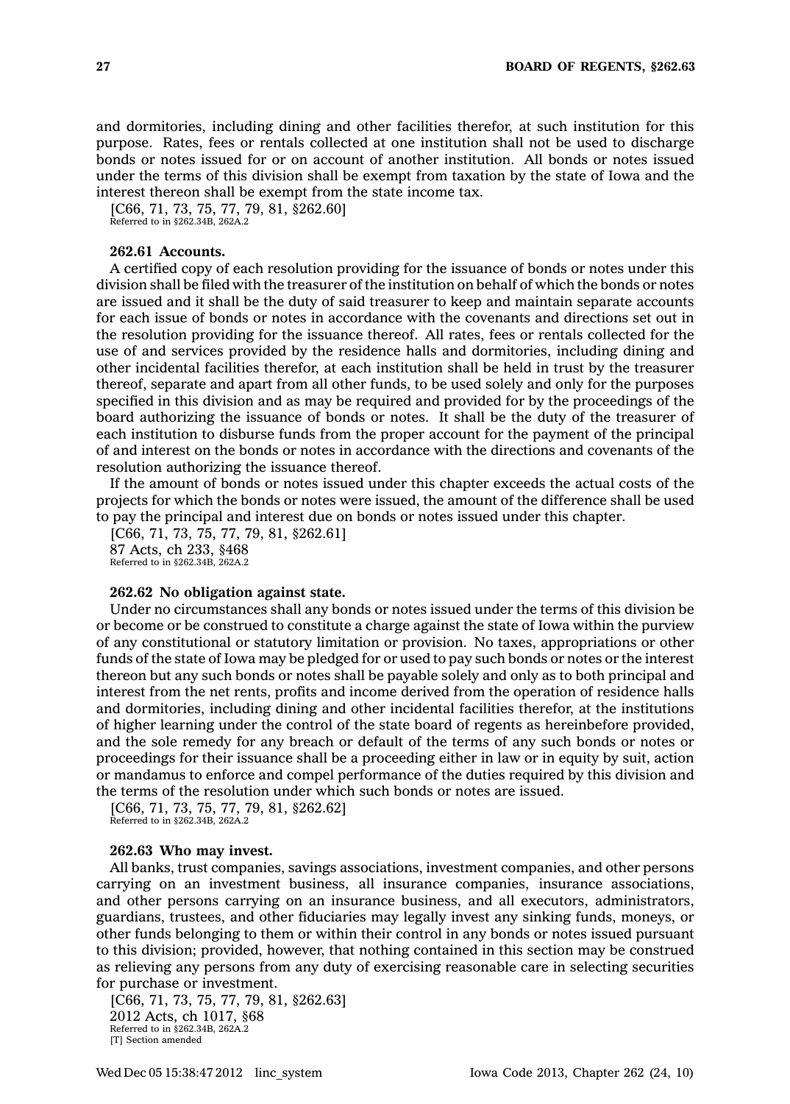and dormitories, including dining and other facilities therefor, at such institution for this purpose. Rates, fees or rentals collected at one institution shall not be used to discharge bonds or notes issued for or on account of another institution. All bonds or notes issued under the terms of this division shall be exempt from taxation by the state of Iowa and the interest thereon shall be exempt from the state income tax.

[C66, 71, 73, 75, 77, 79, 81, §262.60]

Referred to in §262.34B, 262A.2

## **262.61 Accounts.**

A certified copy of each resolution providing for the issuance of bonds or notes under this division shall be filed with the treasurer of the institution on behalf of which the bonds or notes are issued and it shall be the duty of said treasurer to keep and maintain separate accounts for each issue of bonds or notes in accordance with the covenants and directions set out in the resolution providing for the issuance thereof. All rates, fees or rentals collected for the use of and services provided by the residence halls and dormitories, including dining and other incidental facilities therefor, at each institution shall be held in trust by the treasurer thereof, separate and apart from all other funds, to be used solely and only for the purposes specified in this division and as may be required and provided for by the proceedings of the board authorizing the issuance of bonds or notes. It shall be the duty of the treasurer of each institution to disburse funds from the proper account for the payment of the principal of and interest on the bonds or notes in accordance with the directions and covenants of the resolution authorizing the issuance thereof.

If the amount of bonds or notes issued under this chapter exceeds the actual costs of the projects for which the bonds or notes were issued, the amount of the difference shall be used to pay the principal and interest due on bonds or notes issued under this chapter.

[C66, 71, 73, 75, 77, 79, 81, §262.61] 87 Acts, ch 233, §468 Referred to in §262.34B, 262A.2

#### **262.62 No obligation against state.**

Under no circumstances shall any bonds or notes issued under the terms of this division be or become or be construed to constitute <sup>a</sup> charge against the state of Iowa within the purview of any constitutional or statutory limitation or provision. No taxes, appropriations or other funds of the state of Iowa may be pledged for or used to pay such bonds or notes or the interest thereon but any such bonds or notes shall be payable solely and only as to both principal and interest from the net rents, profits and income derived from the operation of residence halls and dormitories, including dining and other incidental facilities therefor, at the institutions of higher learning under the control of the state board of regents as hereinbefore provided, and the sole remedy for any breach or default of the terms of any such bonds or notes or proceedings for their issuance shall be <sup>a</sup> proceeding either in law or in equity by suit, action or mandamus to enforce and compel performance of the duties required by this division and the terms of the resolution under which such bonds or notes are issued.

[C66, 71, 73, 75, 77, 79, 81, §262.62] Referred to in §262.34B, 262A.2

### **262.63 Who may invest.**

All banks, trust companies, savings associations, investment companies, and other persons carrying on an investment business, all insurance companies, insurance associations, and other persons carrying on an insurance business, and all executors, administrators, guardians, trustees, and other fiduciaries may legally invest any sinking funds, moneys, or other funds belonging to them or within their control in any bonds or notes issued pursuant to this division; provided, however, that nothing contained in this section may be construed as relieving any persons from any duty of exercising reasonable care in selecting securities for purchase or investment.

[C66, 71, 73, 75, 77, 79, 81, §262.63] 2012 Acts, ch 1017, §68 Referred to in §262.34B, 262A.2 [T] Section amended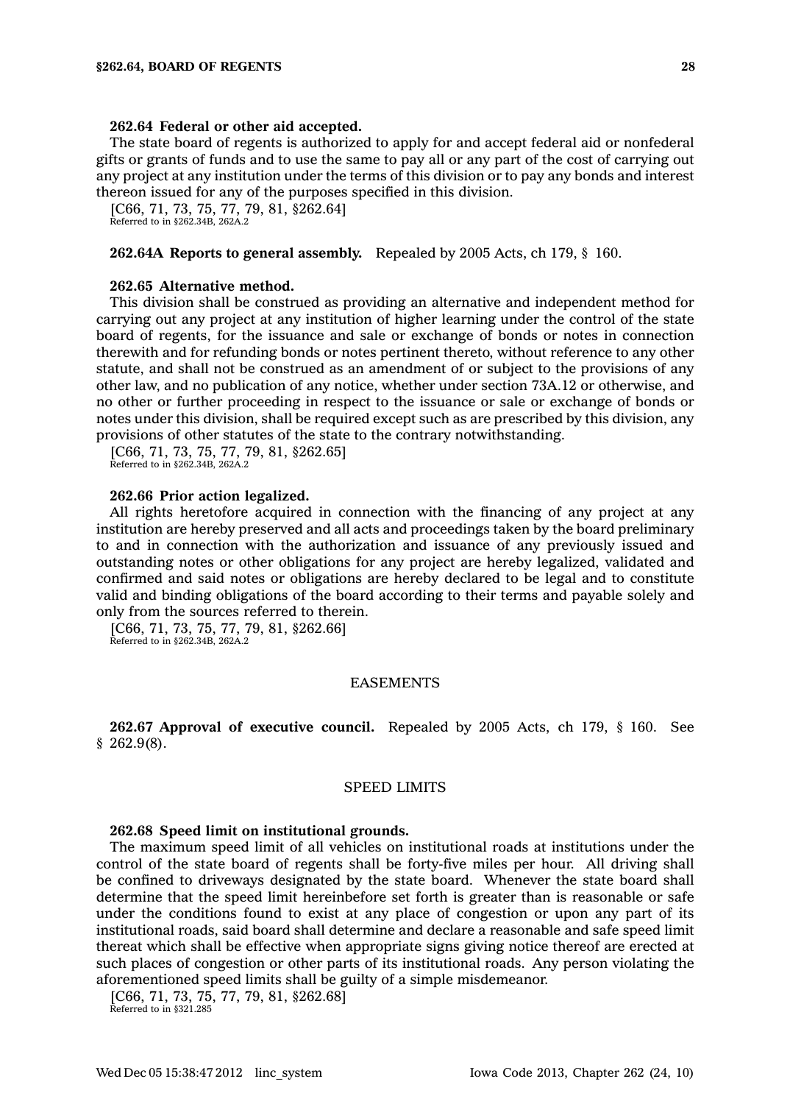#### **262.64 Federal or other aid accepted.**

The state board of regents is authorized to apply for and accept federal aid or nonfederal gifts or grants of funds and to use the same to pay all or any part of the cost of carrying out any project at any institution under the terms of this division or to pay any bonds and interest thereon issued for any of the purposes specified in this division.

[C66, 71, 73, 75, 77, 79, 81, §262.64] Referred to in §262.34B, 262A.2

#### **262.64A Reports to general assembly.** Repealed by 2005 Acts, ch 179, § 160.

#### **262.65 Alternative method.**

This division shall be construed as providing an alternative and independent method for carrying out any project at any institution of higher learning under the control of the state board of regents, for the issuance and sale or exchange of bonds or notes in connection therewith and for refunding bonds or notes pertinent thereto, without reference to any other statute, and shall not be construed as an amendment of or subject to the provisions of any other law, and no publication of any notice, whether under section 73A.12 or otherwise, and no other or further proceeding in respect to the issuance or sale or exchange of bonds or notes under this division, shall be required except such as are prescribed by this division, any provisions of other statutes of the state to the contrary notwithstanding.

[C66, 71, 73, 75, 77, 79, 81, §262.65] Referred to in §262.34B, 262A.2

#### **262.66 Prior action legalized.**

All rights heretofore acquired in connection with the financing of any project at any institution are hereby preserved and all acts and proceedings taken by the board preliminary to and in connection with the authorization and issuance of any previously issued and outstanding notes or other obligations for any project are hereby legalized, validated and confirmed and said notes or obligations are hereby declared to be legal and to constitute valid and binding obligations of the board according to their terms and payable solely and only from the sources referred to therein.

[C66, 71, 73, 75, 77, 79, 81, §262.66] Referred to in §262.34B, 262A.2

## EASEMENTS

**262.67 Approval of executive council.** Repealed by 2005 Acts, ch 179, § 160. See § 262.9(8).

#### SPEED LIMITS

#### **262.68 Speed limit on institutional grounds.**

The maximum speed limit of all vehicles on institutional roads at institutions under the control of the state board of regents shall be forty-five miles per hour. All driving shall be confined to driveways designated by the state board. Whenever the state board shall determine that the speed limit hereinbefore set forth is greater than is reasonable or safe under the conditions found to exist at any place of congestion or upon any part of its institutional roads, said board shall determine and declare <sup>a</sup> reasonable and safe speed limit thereat which shall be effective when appropriate signs giving notice thereof are erected at such places of congestion or other parts of its institutional roads. Any person violating the aforementioned speed limits shall be guilty of <sup>a</sup> simple misdemeanor.

[C66, 71, 73, 75, 77, 79, 81, §262.68]

Referred to in §321.285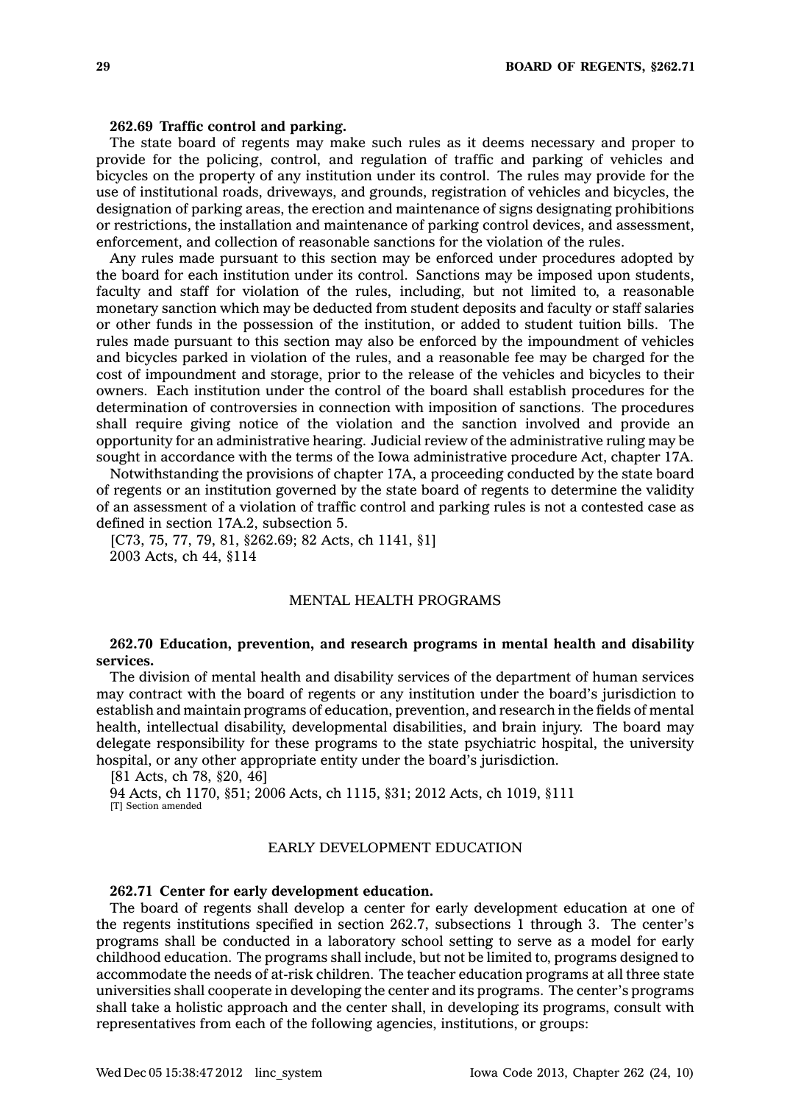#### **262.69 Traffic control and parking.**

The state board of regents may make such rules as it deems necessary and proper to provide for the policing, control, and regulation of traffic and parking of vehicles and bicycles on the property of any institution under its control. The rules may provide for the use of institutional roads, driveways, and grounds, registration of vehicles and bicycles, the designation of parking areas, the erection and maintenance of signs designating prohibitions or restrictions, the installation and maintenance of parking control devices, and assessment, enforcement, and collection of reasonable sanctions for the violation of the rules.

Any rules made pursuant to this section may be enforced under procedures adopted by the board for each institution under its control. Sanctions may be imposed upon students, faculty and staff for violation of the rules, including, but not limited to, <sup>a</sup> reasonable monetary sanction which may be deducted from student deposits and faculty or staff salaries or other funds in the possession of the institution, or added to student tuition bills. The rules made pursuant to this section may also be enforced by the impoundment of vehicles and bicycles parked in violation of the rules, and <sup>a</sup> reasonable fee may be charged for the cost of impoundment and storage, prior to the release of the vehicles and bicycles to their owners. Each institution under the control of the board shall establish procedures for the determination of controversies in connection with imposition of sanctions. The procedures shall require giving notice of the violation and the sanction involved and provide an opportunity for an administrative hearing. Judicial review of the administrative ruling may be sought in accordance with the terms of the Iowa administrative procedure Act, chapter 17A.

Notwithstanding the provisions of chapter 17A, <sup>a</sup> proceeding conducted by the state board of regents or an institution governed by the state board of regents to determine the validity of an assessment of <sup>a</sup> violation of traffic control and parking rules is not <sup>a</sup> contested case as defined in section 17A.2, subsection 5.

[C73, 75, 77, 79, 81, §262.69; 82 Acts, ch 1141, §1] 2003 Acts, ch 44, §114

## MENTAL HEALTH PROGRAMS

## **262.70 Education, prevention, and research programs in mental health and disability services.**

The division of mental health and disability services of the department of human services may contract with the board of regents or any institution under the board's jurisdiction to establish and maintain programs of education, prevention, and research in the fields of mental health, intellectual disability, developmental disabilities, and brain injury. The board may delegate responsibility for these programs to the state psychiatric hospital, the university hospital, or any other appropriate entity under the board's jurisdiction.

[81 Acts, ch 78, §20, 46] 94 Acts, ch 1170, §51; 2006 Acts, ch 1115, §31; 2012 Acts, ch 1019, §111 [T] Section amended

## EARLY DEVELOPMENT EDUCATION

### **262.71 Center for early development education.**

The board of regents shall develop <sup>a</sup> center for early development education at one of the regents institutions specified in section 262.7, subsections 1 through 3. The center's programs shall be conducted in <sup>a</sup> laboratory school setting to serve as <sup>a</sup> model for early childhood education. The programs shall include, but not be limited to, programs designed to accommodate the needs of at-risk children. The teacher education programs at all three state universities shall cooperate in developing the center and its programs. The center's programs shall take <sup>a</sup> holistic approach and the center shall, in developing its programs, consult with representatives from each of the following agencies, institutions, or groups: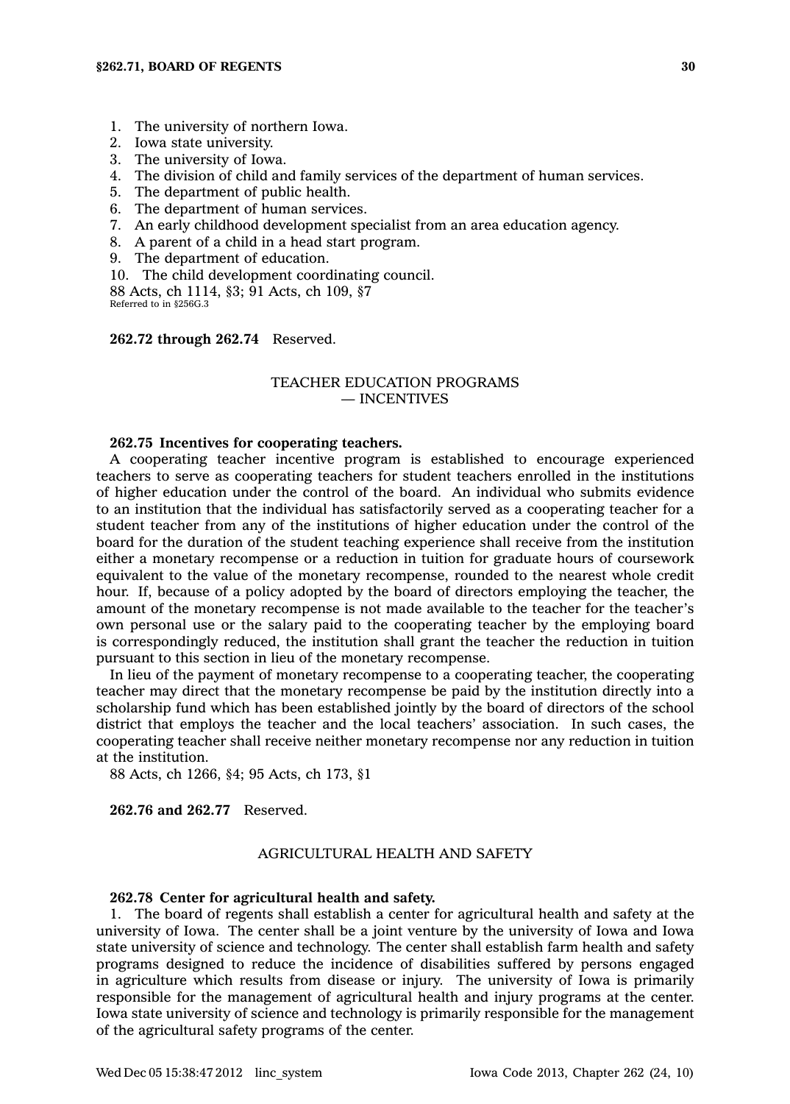- 1. The university of northern Iowa.
- 2. Iowa state university.
- 3. The university of Iowa.
- 4. The division of child and family services of the department of human services.
- 5. The department of public health.
- 6. The department of human services.
- 7. An early childhood development specialist from an area education agency.
- 8. A parent of <sup>a</sup> child in <sup>a</sup> head start program.
- 9. The department of education.
- 10. The child development coordinating council.

88 Acts, ch 1114, §3; 91 Acts, ch 109, §7 Referred to in §256G.3

**262.72 through 262.74** Reserved.

## TEACHER EDUCATION PROGRAMS — INCENTIVES

## **262.75 Incentives for cooperating teachers.**

A cooperating teacher incentive program is established to encourage experienced teachers to serve as cooperating teachers for student teachers enrolled in the institutions of higher education under the control of the board. An individual who submits evidence to an institution that the individual has satisfactorily served as <sup>a</sup> cooperating teacher for <sup>a</sup> student teacher from any of the institutions of higher education under the control of the board for the duration of the student teaching experience shall receive from the institution either <sup>a</sup> monetary recompense or <sup>a</sup> reduction in tuition for graduate hours of coursework equivalent to the value of the monetary recompense, rounded to the nearest whole credit hour. If, because of <sup>a</sup> policy adopted by the board of directors employing the teacher, the amount of the monetary recompense is not made available to the teacher for the teacher's own personal use or the salary paid to the cooperating teacher by the employing board is correspondingly reduced, the institution shall grant the teacher the reduction in tuition pursuant to this section in lieu of the monetary recompense.

In lieu of the payment of monetary recompense to <sup>a</sup> cooperating teacher, the cooperating teacher may direct that the monetary recompense be paid by the institution directly into <sup>a</sup> scholarship fund which has been established jointly by the board of directors of the school district that employs the teacher and the local teachers' association. In such cases, the cooperating teacher shall receive neither monetary recompense nor any reduction in tuition at the institution.

88 Acts, ch 1266, §4; 95 Acts, ch 173, §1

**262.76 and 262.77** Reserved.

## AGRICULTURAL HEALTH AND SAFETY

#### **262.78 Center for agricultural health and safety.**

1. The board of regents shall establish <sup>a</sup> center for agricultural health and safety at the university of Iowa. The center shall be <sup>a</sup> joint venture by the university of Iowa and Iowa state university of science and technology. The center shall establish farm health and safety programs designed to reduce the incidence of disabilities suffered by persons engaged in agriculture which results from disease or injury. The university of Iowa is primarily responsible for the management of agricultural health and injury programs at the center. Iowa state university of science and technology is primarily responsible for the management of the agricultural safety programs of the center.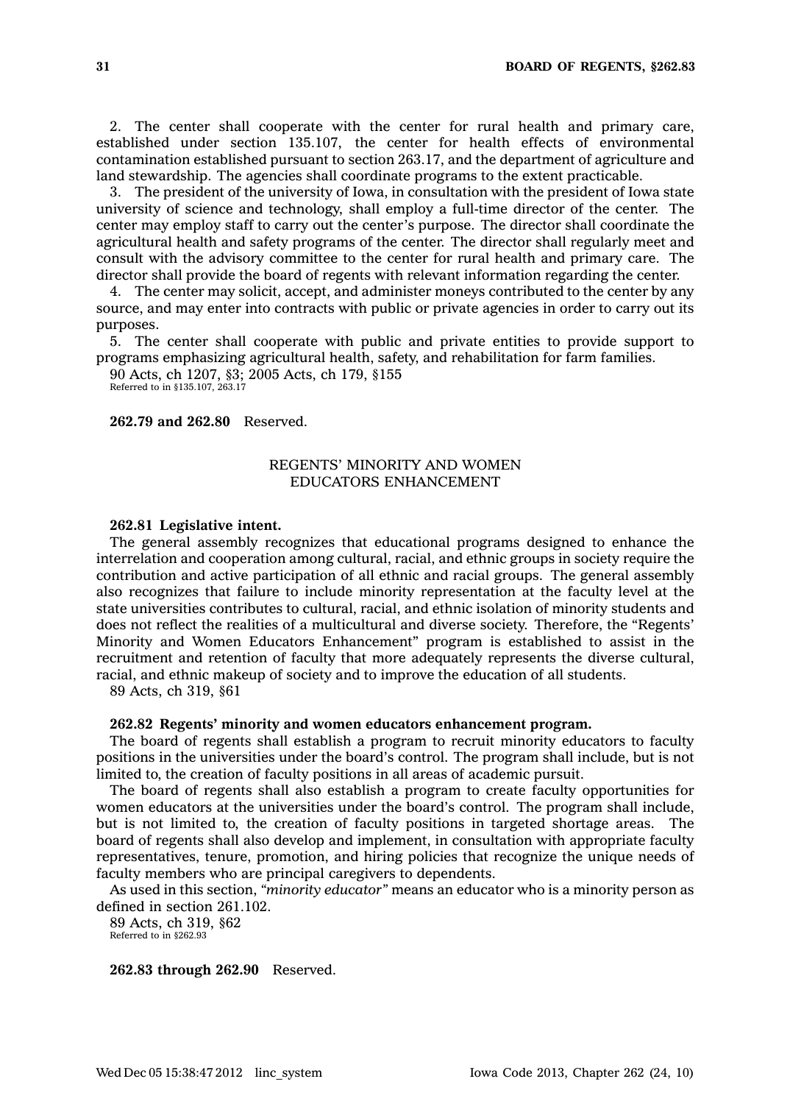2. The center shall cooperate with the center for rural health and primary care, established under section 135.107, the center for health effects of environmental contamination established pursuant to section 263.17, and the department of agriculture and land stewardship. The agencies shall coordinate programs to the extent practicable.

3. The president of the university of Iowa, in consultation with the president of Iowa state university of science and technology, shall employ <sup>a</sup> full-time director of the center. The center may employ staff to carry out the center's purpose. The director shall coordinate the agricultural health and safety programs of the center. The director shall regularly meet and consult with the advisory committee to the center for rural health and primary care. The director shall provide the board of regents with relevant information regarding the center.

4. The center may solicit, accept, and administer moneys contributed to the center by any source, and may enter into contracts with public or private agencies in order to carry out its purposes.

5. The center shall cooperate with public and private entities to provide support to programs emphasizing agricultural health, safety, and rehabilitation for farm families.

90 Acts, ch 1207, §3; 2005 Acts, ch 179, §155 Referred to in §135.107, 263.17

**262.79 and 262.80** Reserved.

## REGENTS' MINORITY AND WOMEN EDUCATORS ENHANCEMENT

### **262.81 Legislative intent.**

The general assembly recognizes that educational programs designed to enhance the interrelation and cooperation among cultural, racial, and ethnic groups in society require the contribution and active participation of all ethnic and racial groups. The general assembly also recognizes that failure to include minority representation at the faculty level at the state universities contributes to cultural, racial, and ethnic isolation of minority students and does not reflect the realities of <sup>a</sup> multicultural and diverse society. Therefore, the "Regents' Minority and Women Educators Enhancement" program is established to assist in the recruitment and retention of faculty that more adequately represents the diverse cultural, racial, and ethnic makeup of society and to improve the education of all students.

89 Acts, ch 319, §61

#### **262.82 Regents' minority and women educators enhancement program.**

The board of regents shall establish <sup>a</sup> program to recruit minority educators to faculty positions in the universities under the board's control. The program shall include, but is not limited to, the creation of faculty positions in all areas of academic pursuit.

The board of regents shall also establish <sup>a</sup> program to create faculty opportunities for women educators at the universities under the board's control. The program shall include, but is not limited to, the creation of faculty positions in targeted shortage areas. The board of regents shall also develop and implement, in consultation with appropriate faculty representatives, tenure, promotion, and hiring policies that recognize the unique needs of faculty members who are principal caregivers to dependents.

As used in this section, *"minority educator"* means an educator who is <sup>a</sup> minority person as defined in section 261.102.

89 Acts, ch 319, §62 Referred to in §262.93

**262.83 through 262.90** Reserved.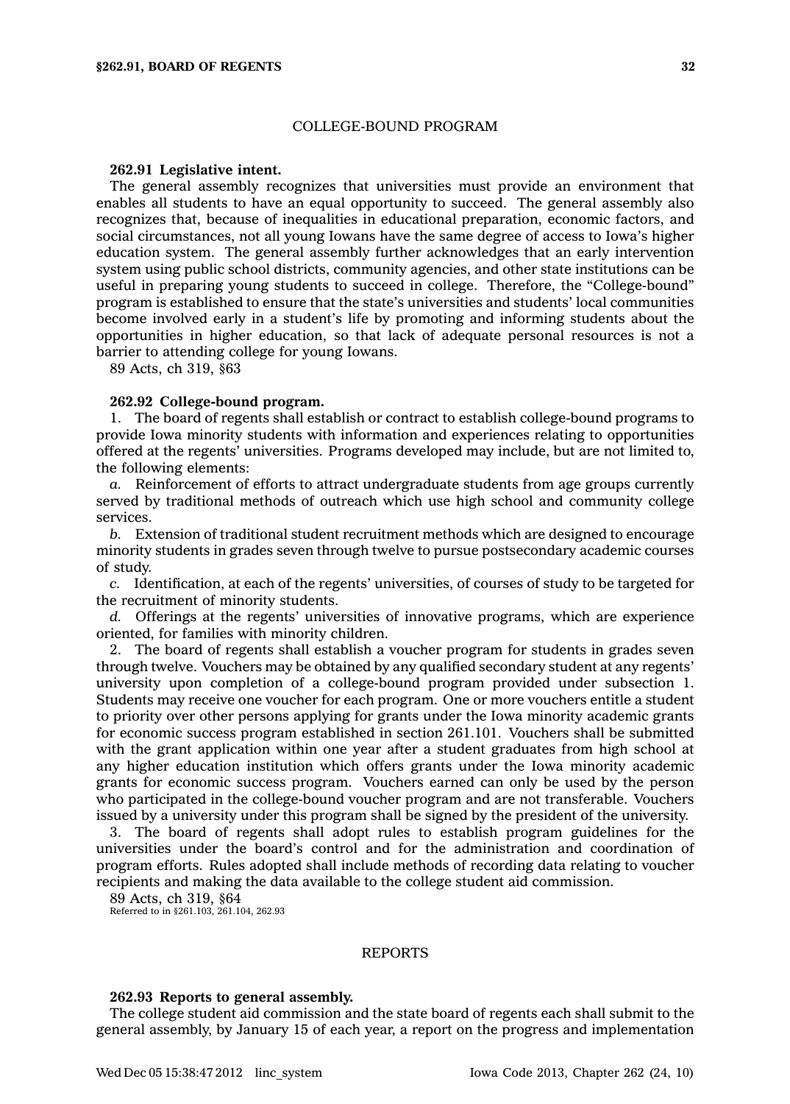### COLLEGE-BOUND PROGRAM

#### **262.91 Legislative intent.**

The general assembly recognizes that universities must provide an environment that enables all students to have an equal opportunity to succeed. The general assembly also recognizes that, because of inequalities in educational preparation, economic factors, and social circumstances, not all young Iowans have the same degree of access to Iowa's higher education system. The general assembly further acknowledges that an early intervention system using public school districts, community agencies, and other state institutions can be useful in preparing young students to succeed in college. Therefore, the "College-bound" program is established to ensure that the state's universities and students' local communities become involved early in <sup>a</sup> student's life by promoting and informing students about the opportunities in higher education, so that lack of adequate personal resources is not <sup>a</sup> barrier to attending college for young Iowans.

89 Acts, ch 319, §63

#### **262.92 College-bound program.**

1. The board of regents shall establish or contract to establish college-bound programs to provide Iowa minority students with information and experiences relating to opportunities offered at the regents' universities. Programs developed may include, but are not limited to, the following elements:

*a.* Reinforcement of efforts to attract undergraduate students from age groups currently served by traditional methods of outreach which use high school and community college services.

*b.* Extension of traditional student recruitment methods which are designed to encourage minority students in grades seven through twelve to pursue postsecondary academic courses of study.

*c.* Identification, at each of the regents' universities, of courses of study to be targeted for the recruitment of minority students.

*d.* Offerings at the regents' universities of innovative programs, which are experience oriented, for families with minority children.

2. The board of regents shall establish <sup>a</sup> voucher program for students in grades seven through twelve. Vouchers may be obtained by any qualified secondary student at any regents' university upon completion of <sup>a</sup> college-bound program provided under subsection 1. Students may receive one voucher for each program. One or more vouchers entitle <sup>a</sup> student to priority over other persons applying for grants under the Iowa minority academic grants for economic success program established in section 261.101. Vouchers shall be submitted with the grant application within one year after <sup>a</sup> student graduates from high school at any higher education institution which offers grants under the Iowa minority academic grants for economic success program. Vouchers earned can only be used by the person who participated in the college-bound voucher program and are not transferable. Vouchers issued by <sup>a</sup> university under this program shall be signed by the president of the university.

3. The board of regents shall adopt rules to establish program guidelines for the universities under the board's control and for the administration and coordination of program efforts. Rules adopted shall include methods of recording data relating to voucher recipients and making the data available to the college student aid commission.

89 Acts, ch 319, §64

Referred to in §261.103, 261.104, 262.93

#### REPORTS

## **262.93 Reports to general assembly.**

The college student aid commission and the state board of regents each shall submit to the general assembly, by January 15 of each year, <sup>a</sup> report on the progress and implementation